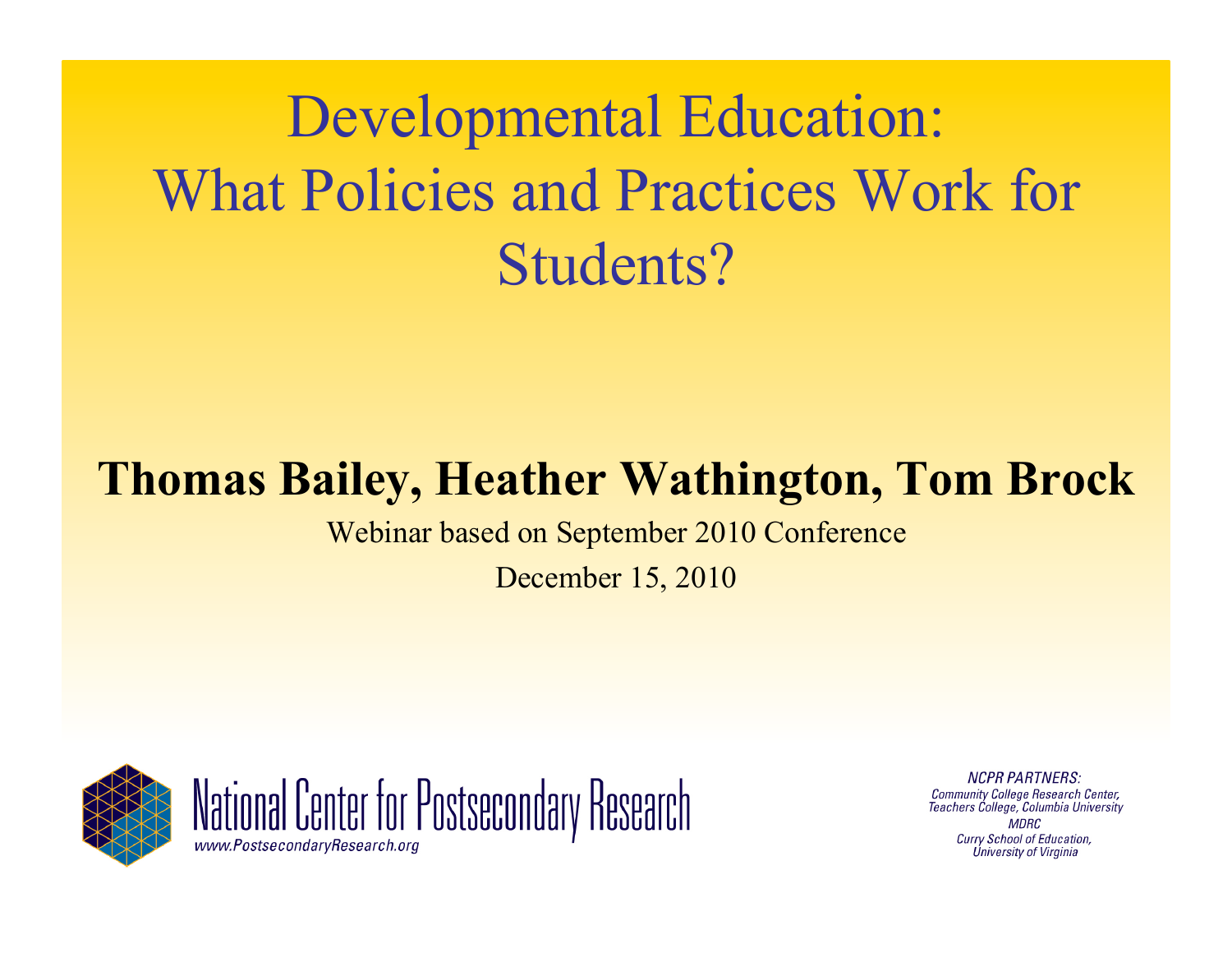# Developmental Education: What Policies and Practices Work for Students?

#### **Thomas Bailey, Heather Wathington, Tom Brock**

Webinar based on September 2010 Conference

December 15, 2010





**NCPR PARTNERS: Community College Research Center,** Teachers College, Columbia University **MDRC** Curry School of Education, **Úniversity of Virginia**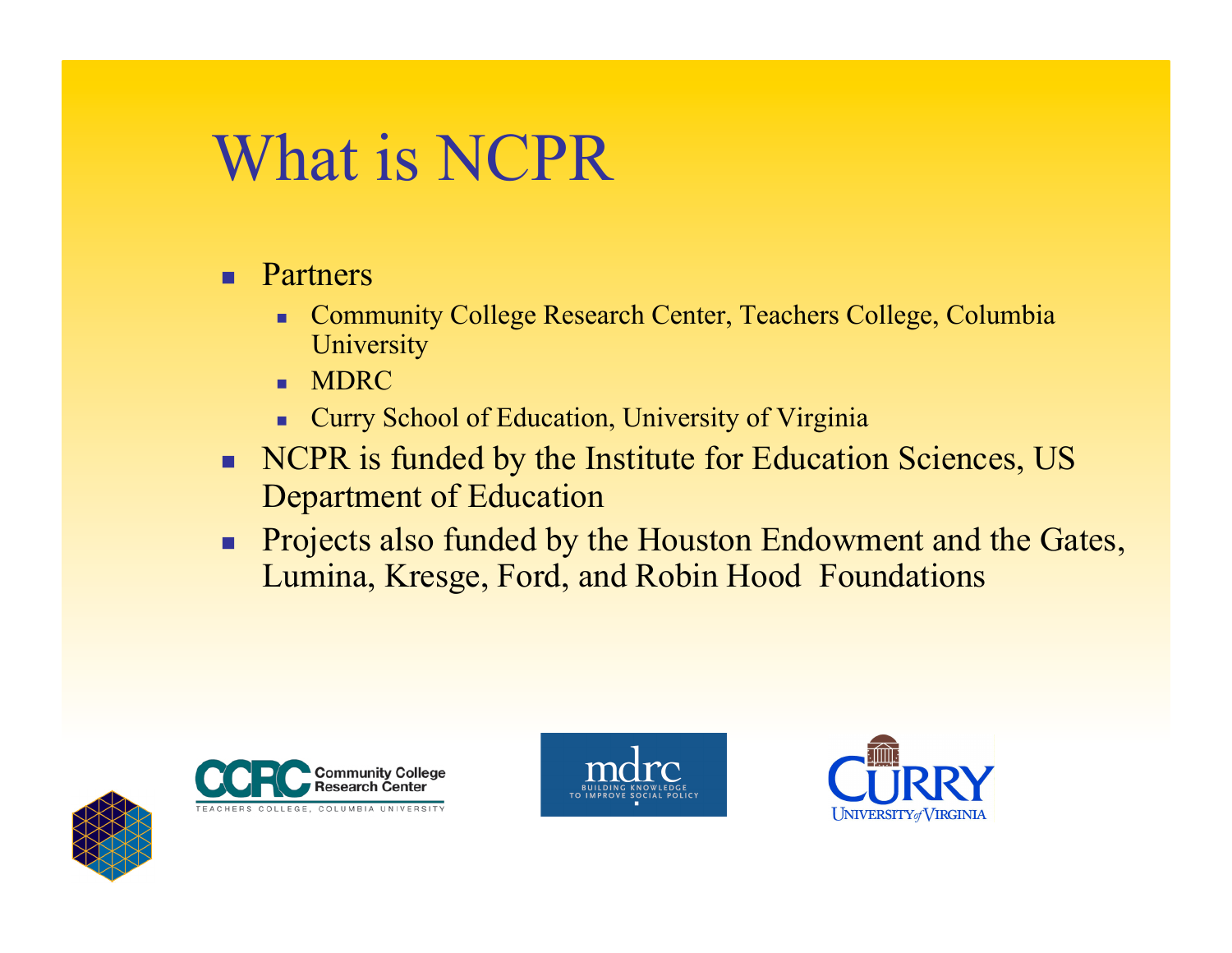# What is NCPR

- **Partners** 
	- Community College Research Center, Teachers College, Columbia **University**
	- **MDRC**
	- **Curry School of Education, University of Virginia**
- NCPR is funded by the Institute for Education Sciences, US Department of Education
- **Projects also funded by the Houston Endowment and the Gates,** Lumina, Kresge, Ford, and Robin Hood Foundations







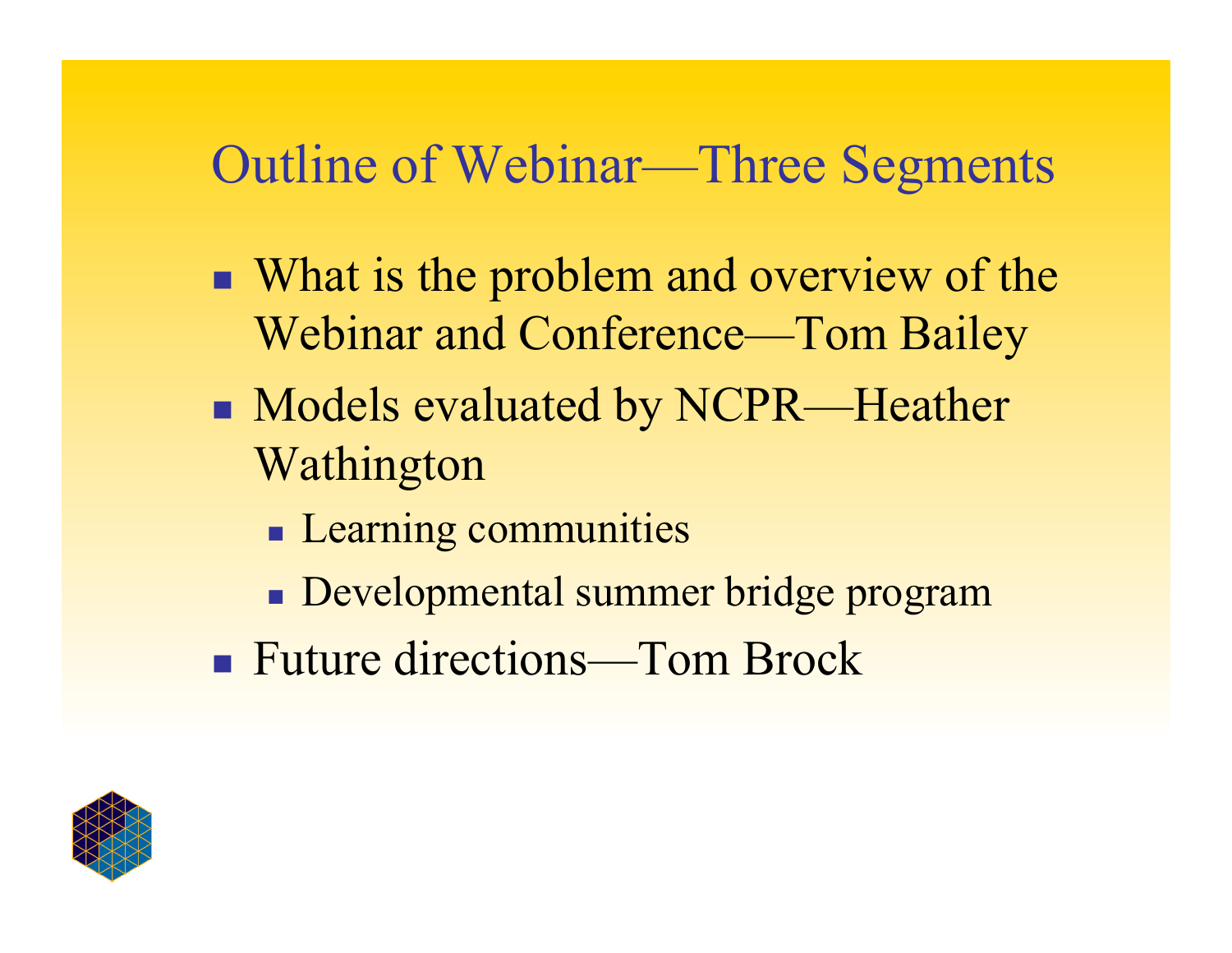#### Outline of Webinar—Three Segments

- What is the problem and overview of the Webinar and Conference—Tom Bailey
- **Models evaluated by NCPR—Heather** Wathington
	- **Learning communities**
	- Developmental summer bridge program
- Future directions—Tom Brock

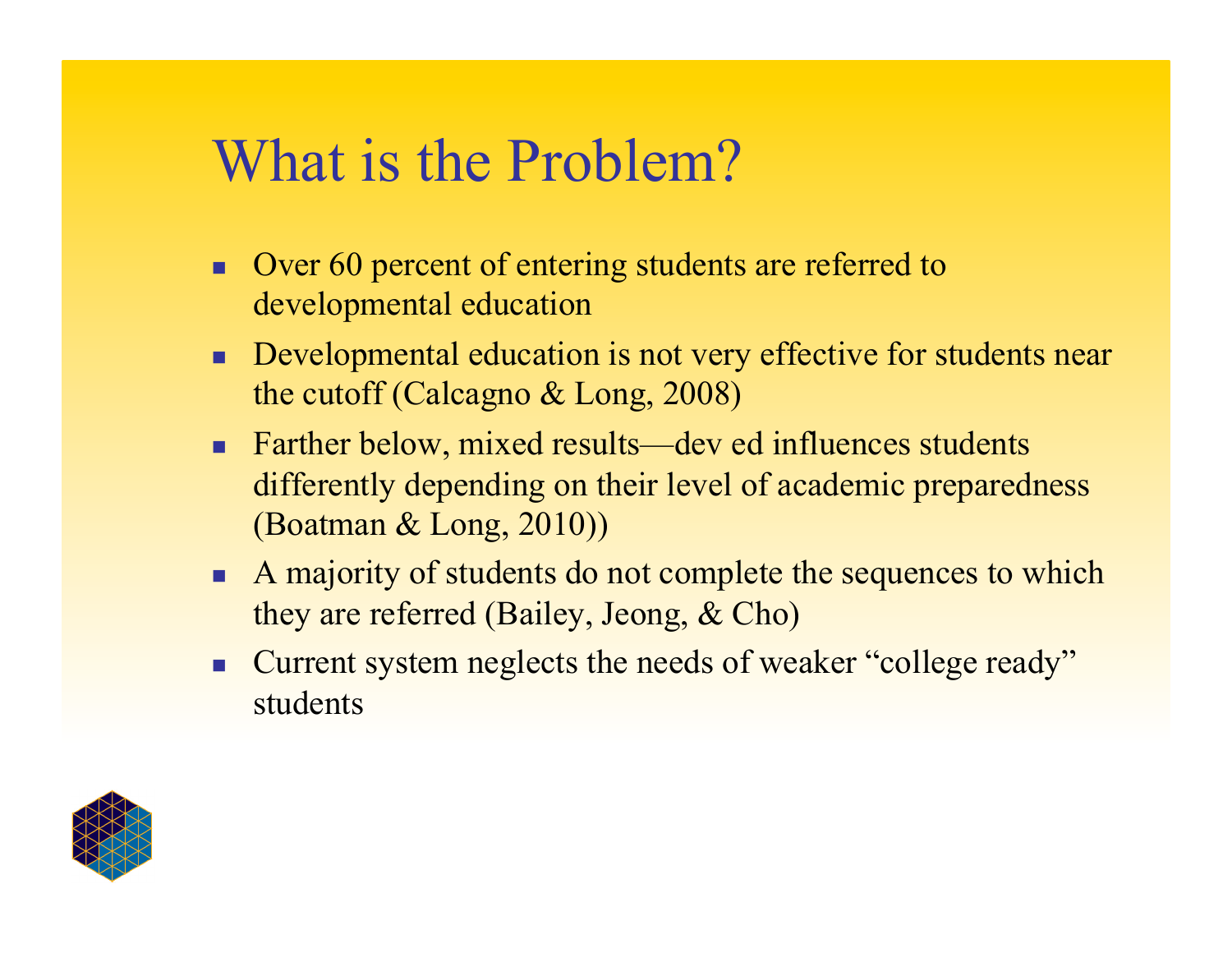### What is the Problem?

- Over 60 percent of entering students are referred to developmental education
- Developmental education is not very effective for students near the cutoff (Calcagno & Long, 2008)
- Farther below, mixed results—dev ed influences students differently depending on their level of academic preparedness (Boatman & Long, 2010))
- A majority of students do not complete the sequences to which they are referred (Bailey, Jeong, & Cho)
- Current system neglects the needs of weaker "college ready" students

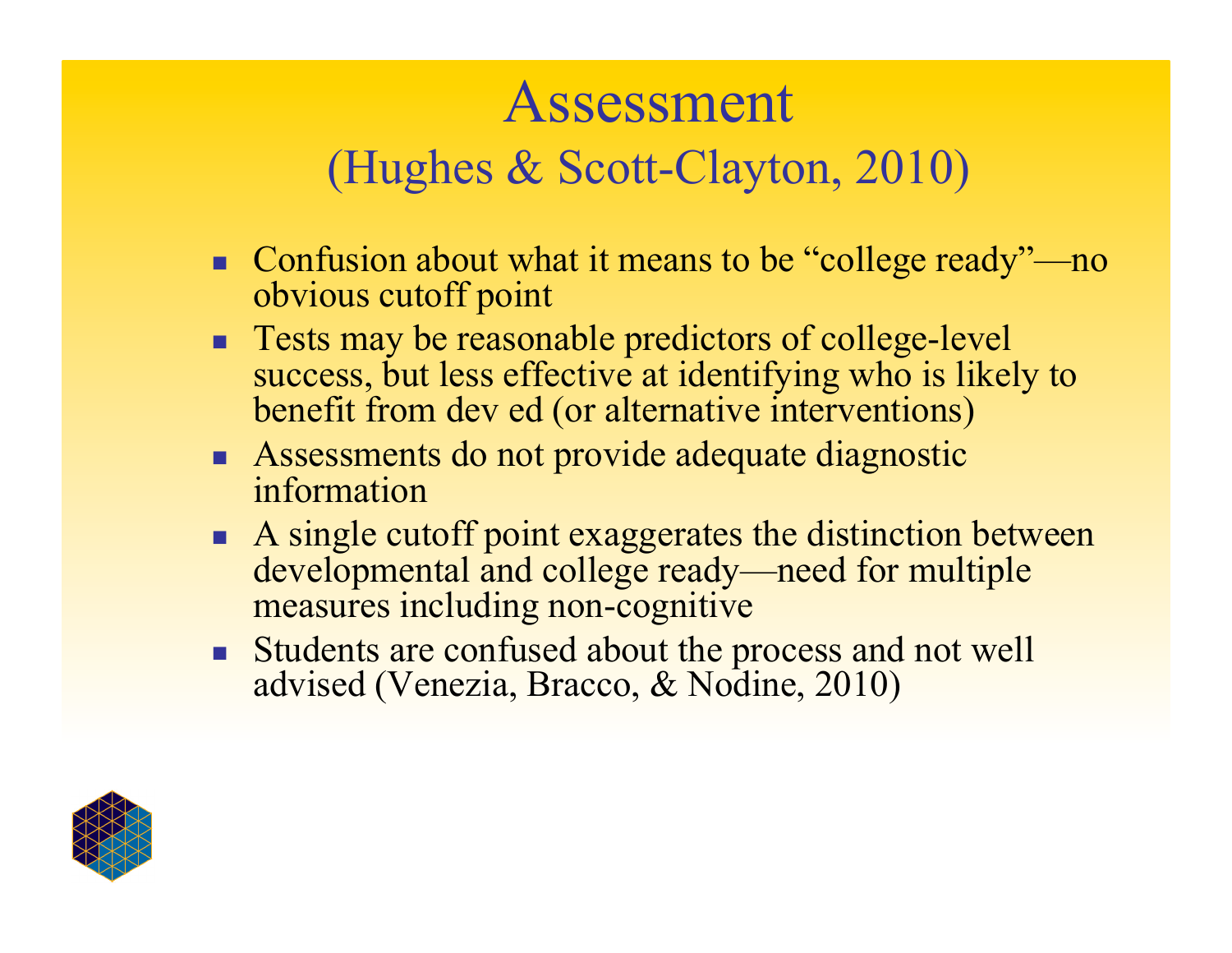# Assessment (Hughes & Scott-Clayton, 2010)

- Confusion about what it means to be "college ready"—no obvious cutoff point
- **Tests may be reasonable predictors of college-level** success, but less effective at identifying who is likely to benefit from dev ed (or alternative interventions)
- **Assessments do not provide adequate diagnostic** information
- A single cutoff point exaggerates the distinction between developmental and college ready—need for multiple measures including non-cognitive
- **Students are confused about the process and not well** advised (Venezia, Bracco, & Nodine, 2010)

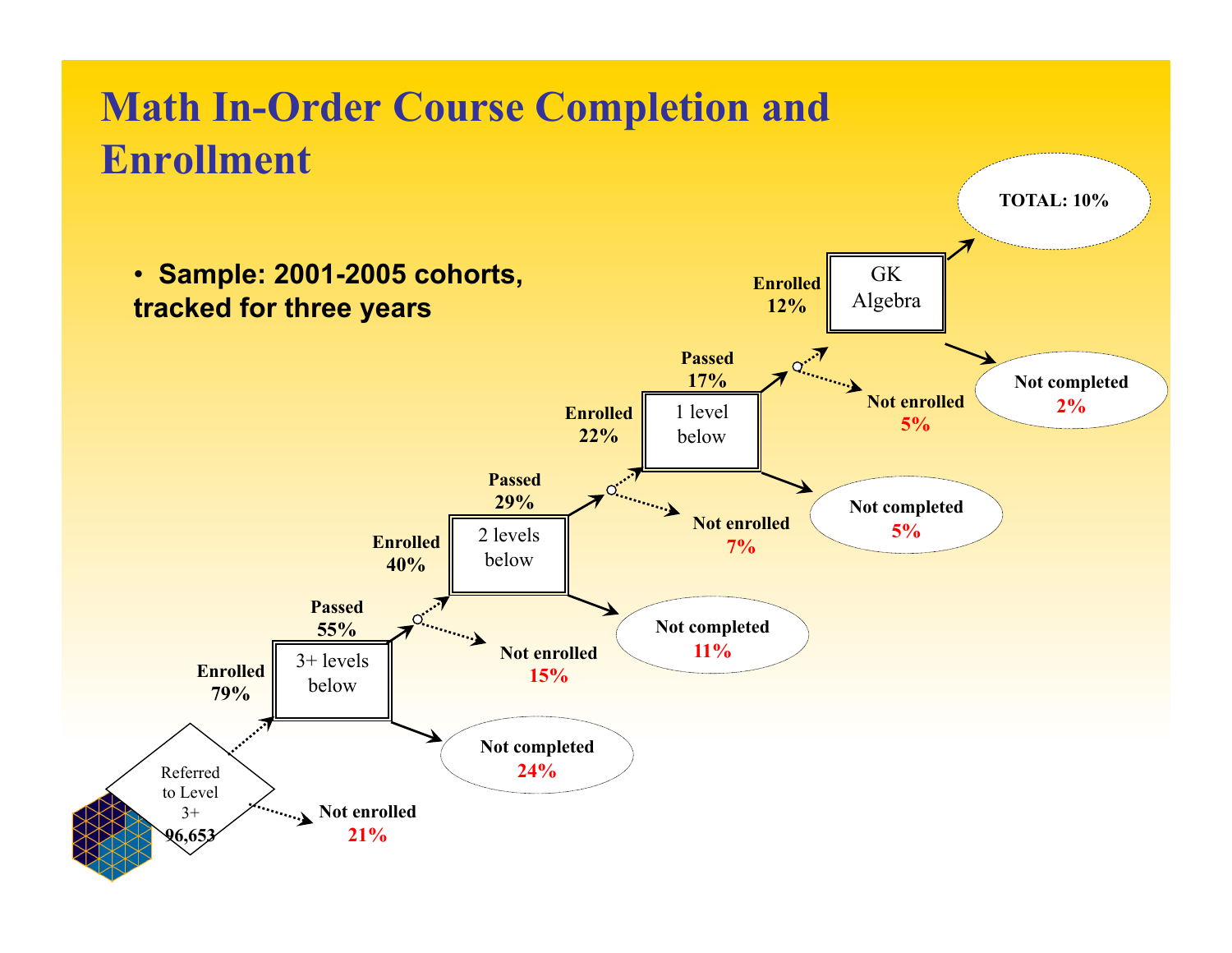#### **Math In-Order Course Completion and Enrollment TOTAL: 10%** • **Sample: 2001-2005 cohorts,**  GK **Enrolled**  Algebra **tracked for three years 12%**  $Q_{\text{max}}$ **Passed 17% Not completed Not enrolled 2% Enrolled**  1 level **5% 22%** below **Passed**   $\overline{C}$ **29% Not completed Not enrolled 5%**  2 levels **Enrolled 7%**  below **40%**  $\mathbf{C}$ **Passed Not completed 55% 11% Not enrolled**  3+ levels **Enrolled 15%** below **79% Not completed 24%**  Referred to Level **Not enrolled**   $3+$ **96,653 21%**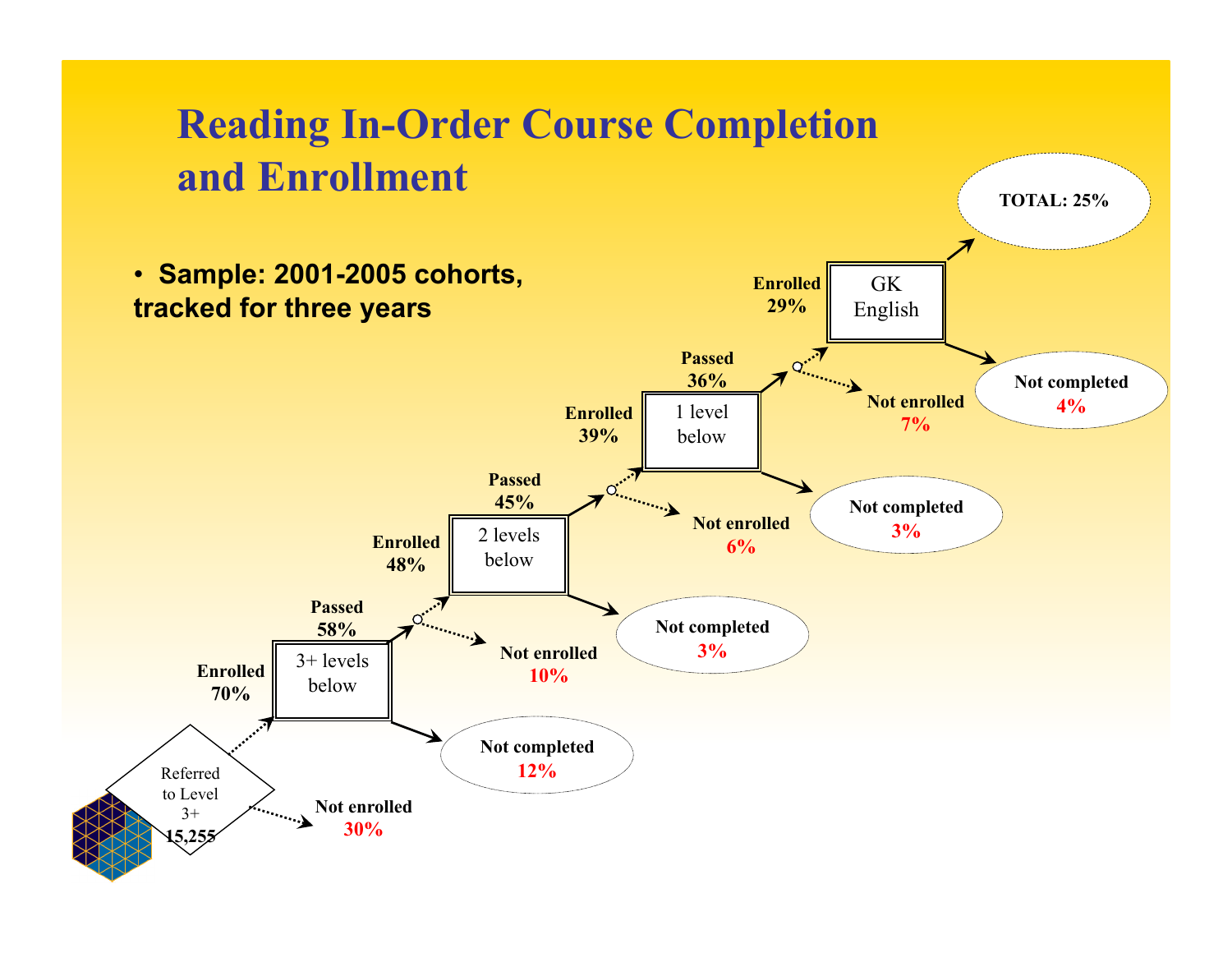#### **Reading In-Order Course Completion and Enrollment**

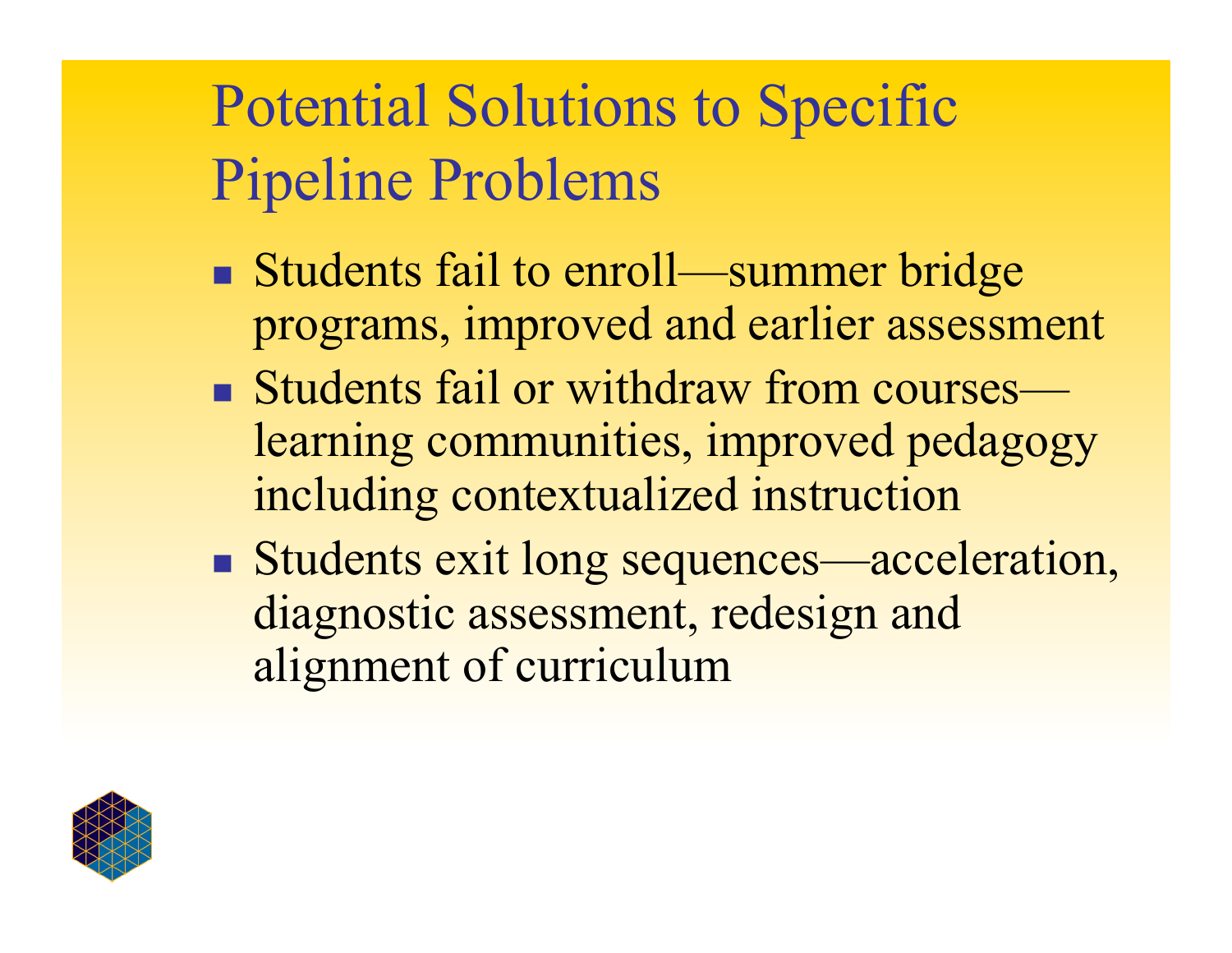# Potential Solutions to Specific Pipeline Problems

- Students fail to enroll—summer bridge programs, improved and earlier assessment
- Students fail or withdraw from courses learning communities, improved pedagogy including contextualized instruction
- Students exit long sequences—acceleration, diagnostic assessment, redesign and alignment of curriculum

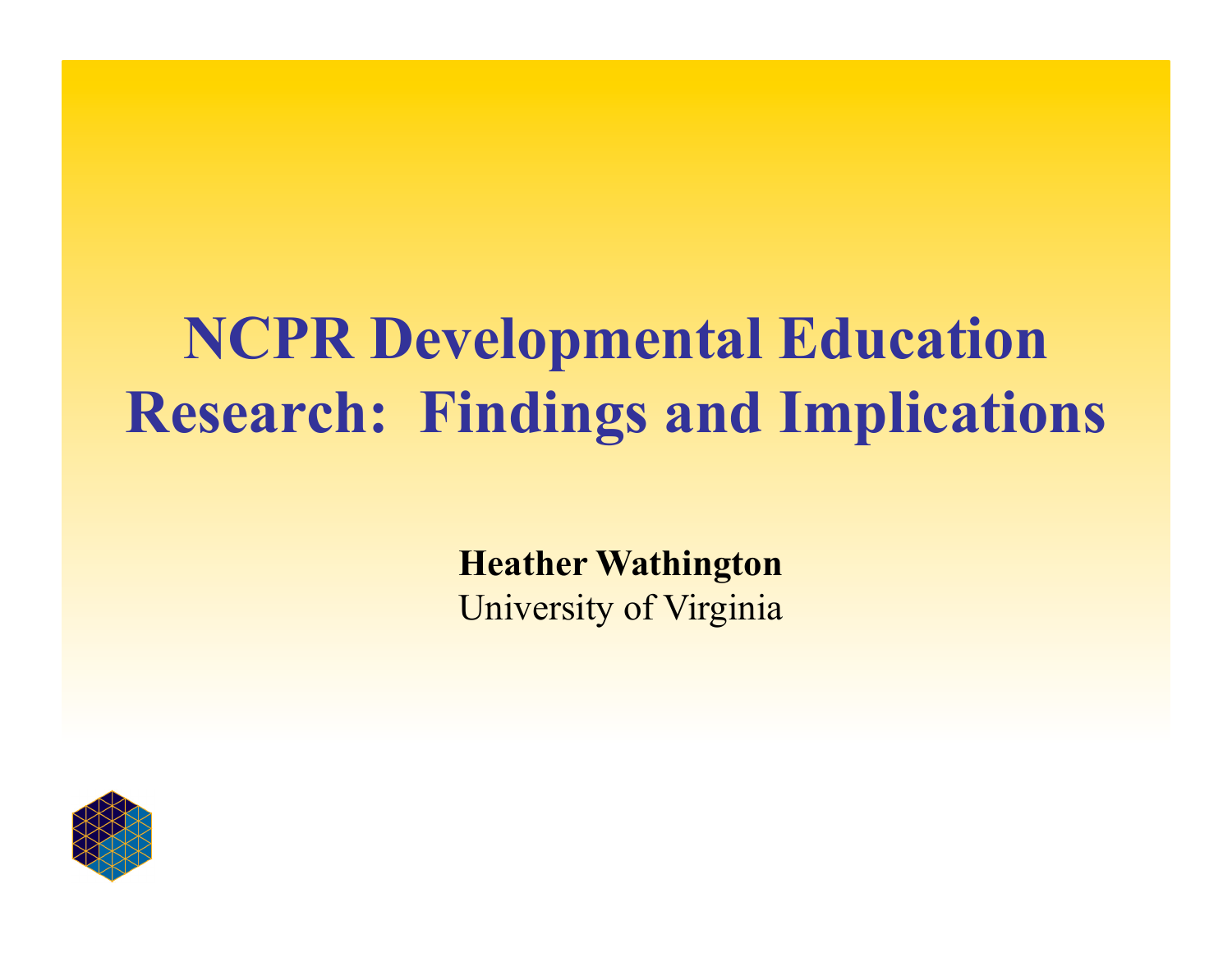# **NCPR Developmental Education Research: Findings and Implications**

**Heather Wathington**  University of Virginia

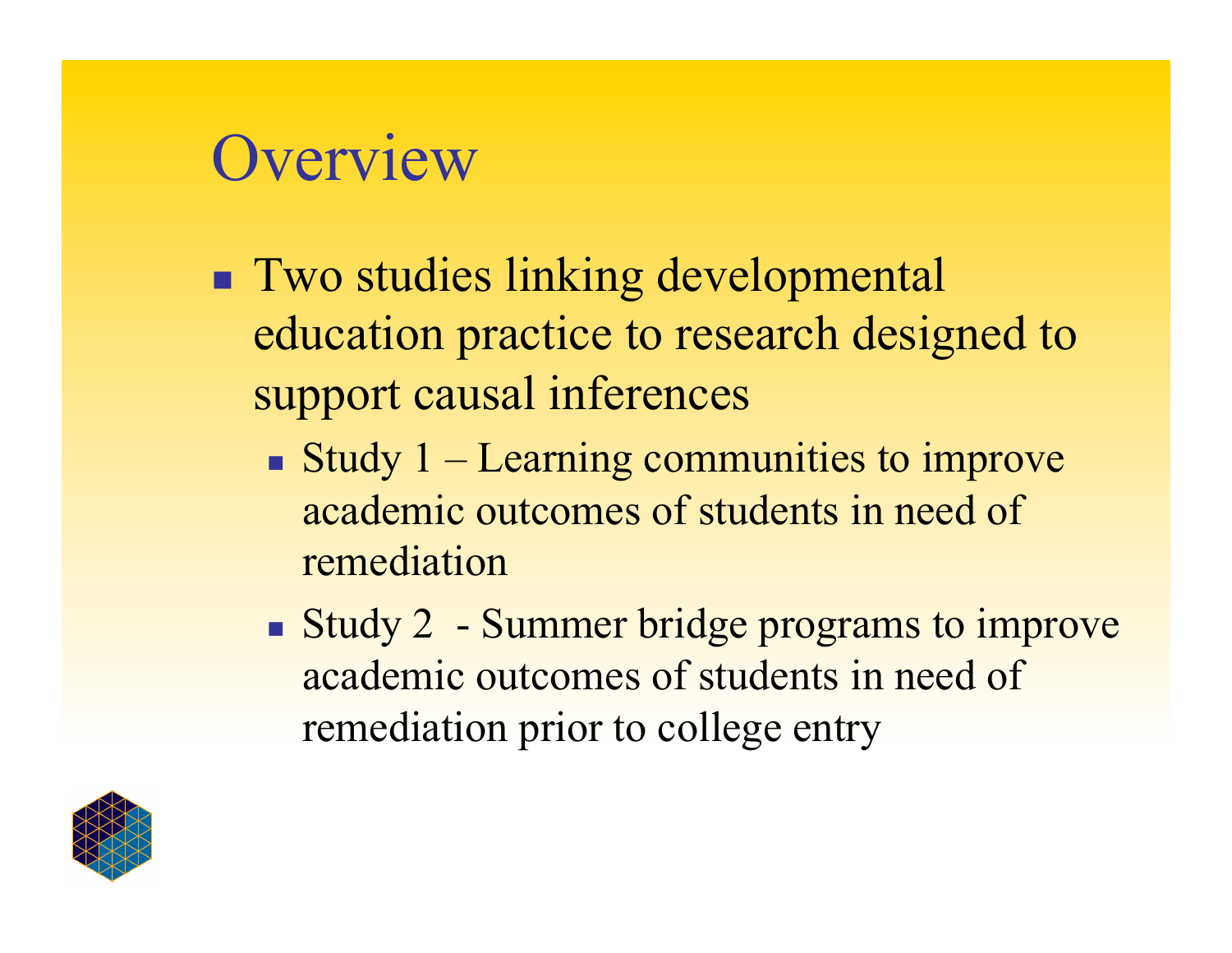# **Overview**

- **Two studies linking developmental** education practice to research designed to support causal inferences
	- Study  $1 -$  Learning communities to improve academic outcomes of students in need of remediation
	- Study 2 Summer bridge programs to improve academic outcomes of students in need of remediation prior to college entry

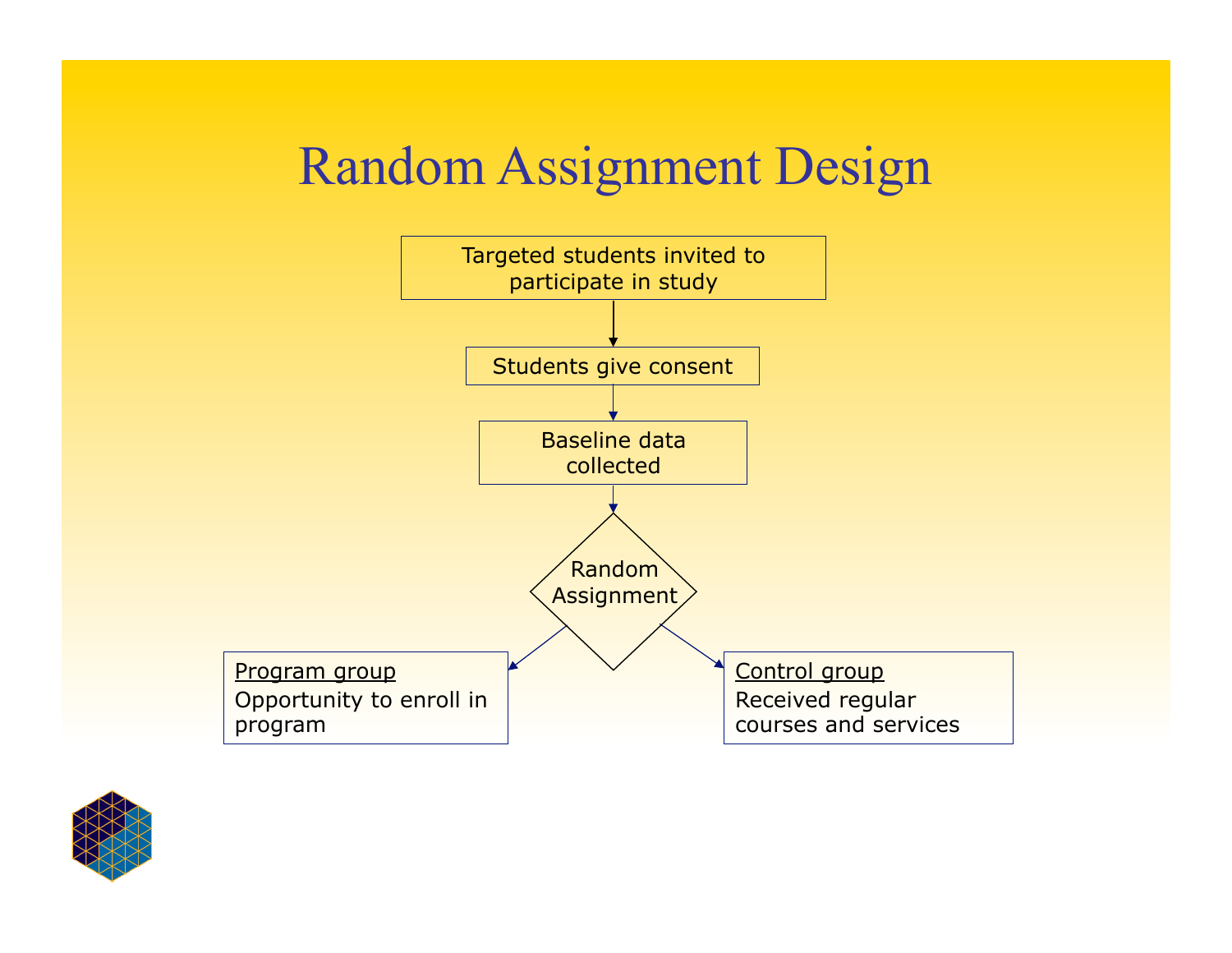### Random Assignment Design



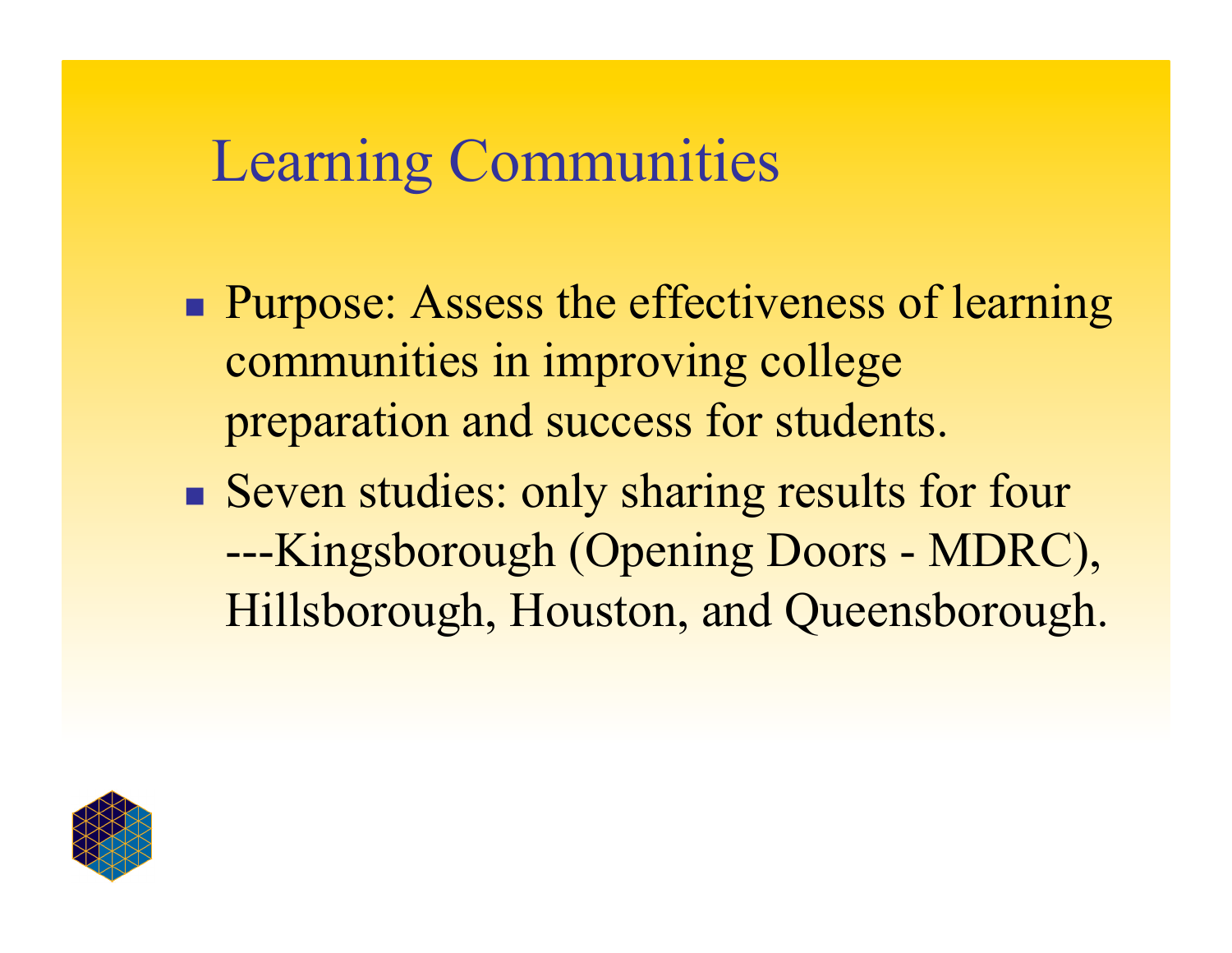### Learning Communities

- **Purpose:** Assess the effectiveness of learning communities in improving college preparation and success for students.
- Seven studies: only sharing results for four ---Kingsborough (Opening Doors - MDRC), Hillsborough, Houston, and Queensborough.

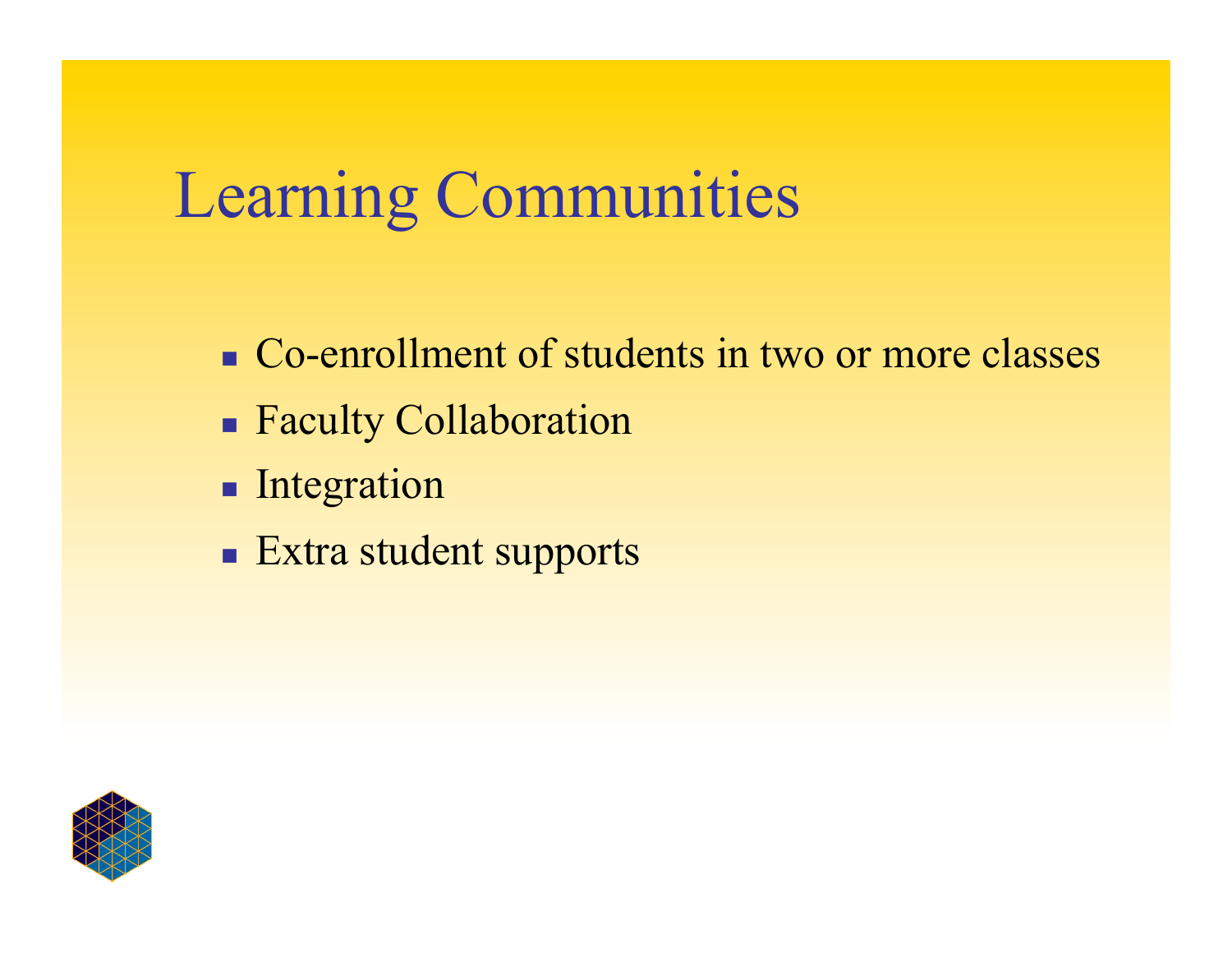# Learning Communities

- Co-enrollment of students in two or more classes
- Faculty Collaboration
- **Integration**
- **Extra student supports**

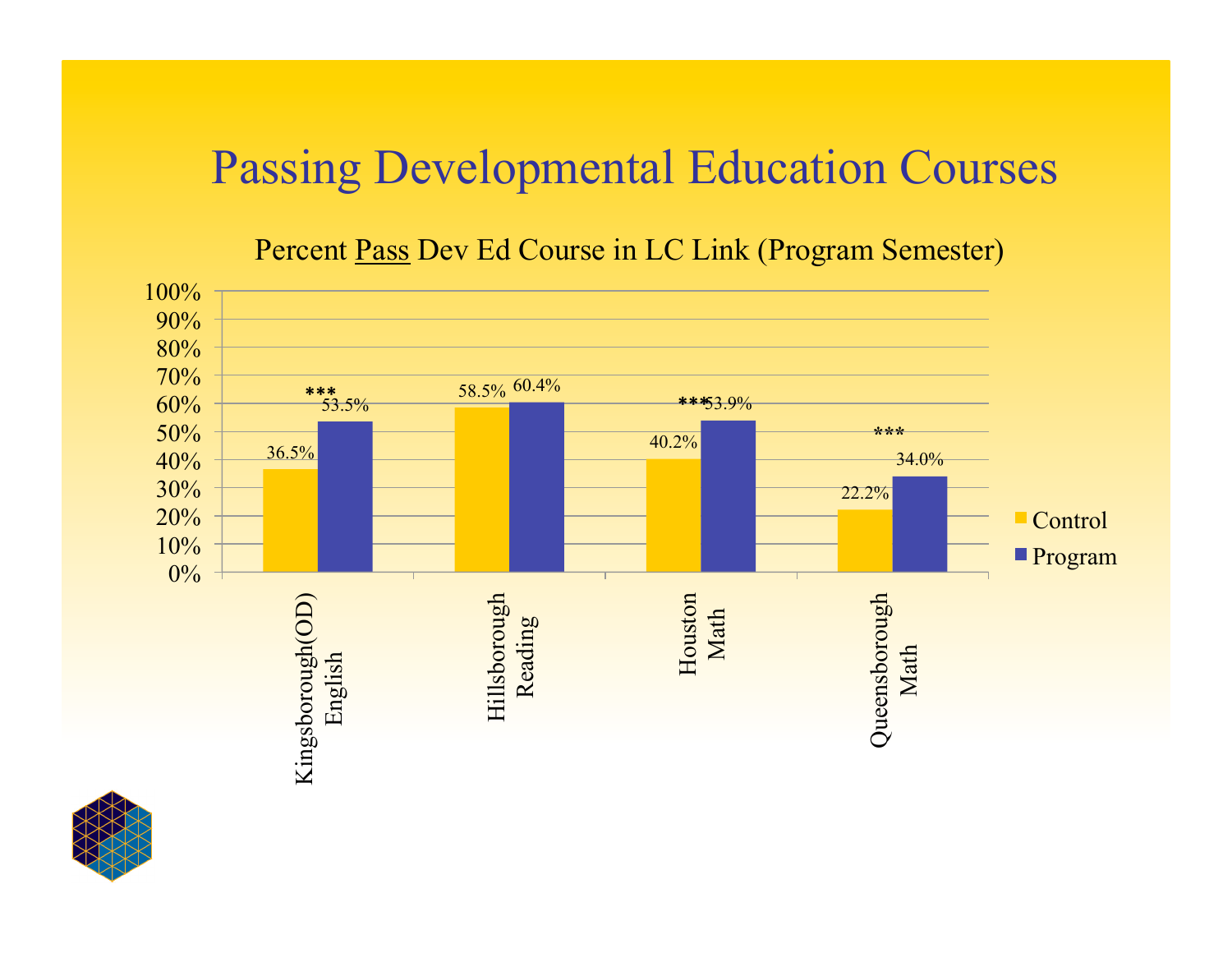#### Passing Developmental Education Courses

#### Percent Pass Dev Ed Course in LC Link (Program Semester)



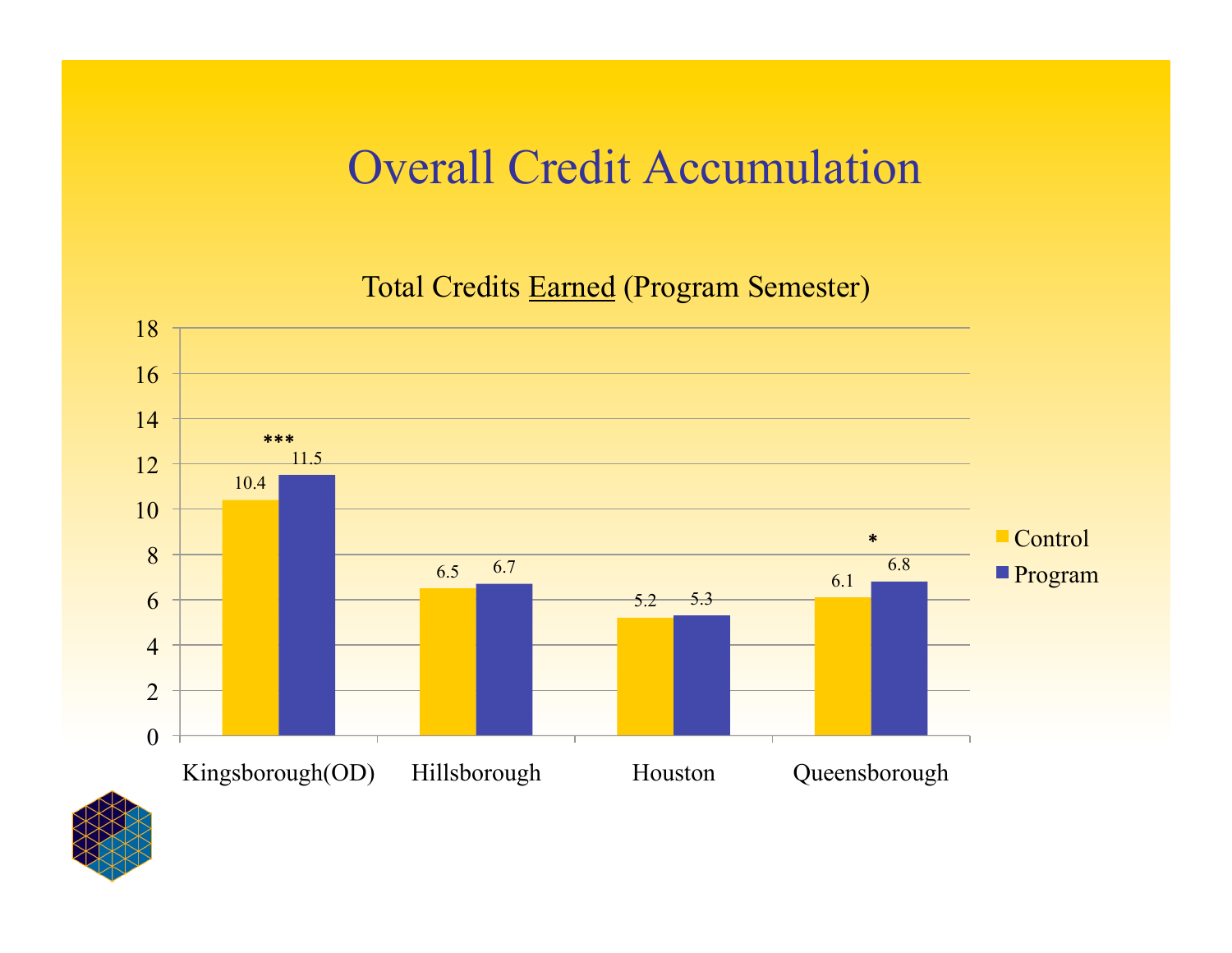#### Overall Credit Accumulation

Total Credits Earned (Program Semester)



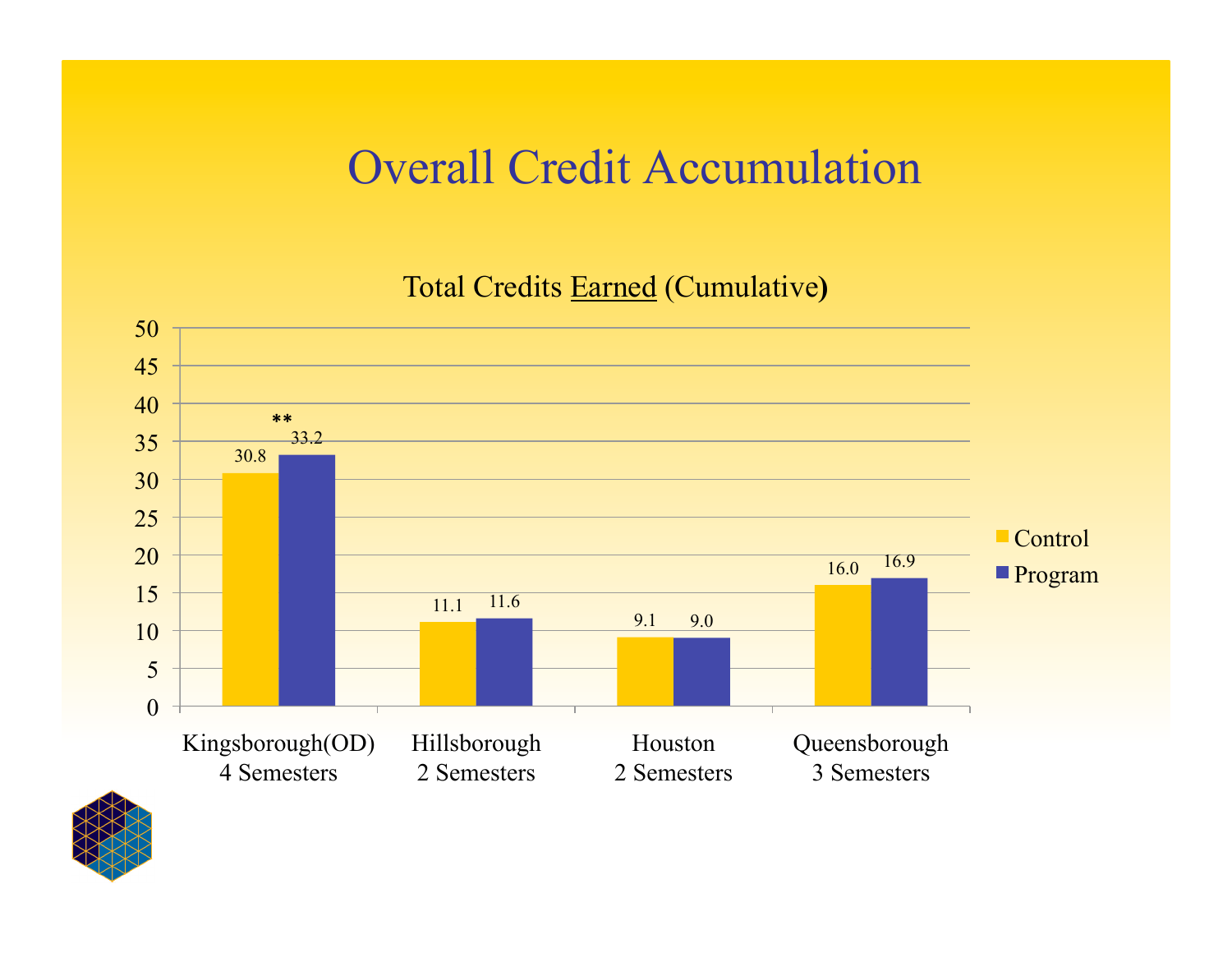#### Overall Credit Accumulation

Total Credits Earned (Cumulative**)** 



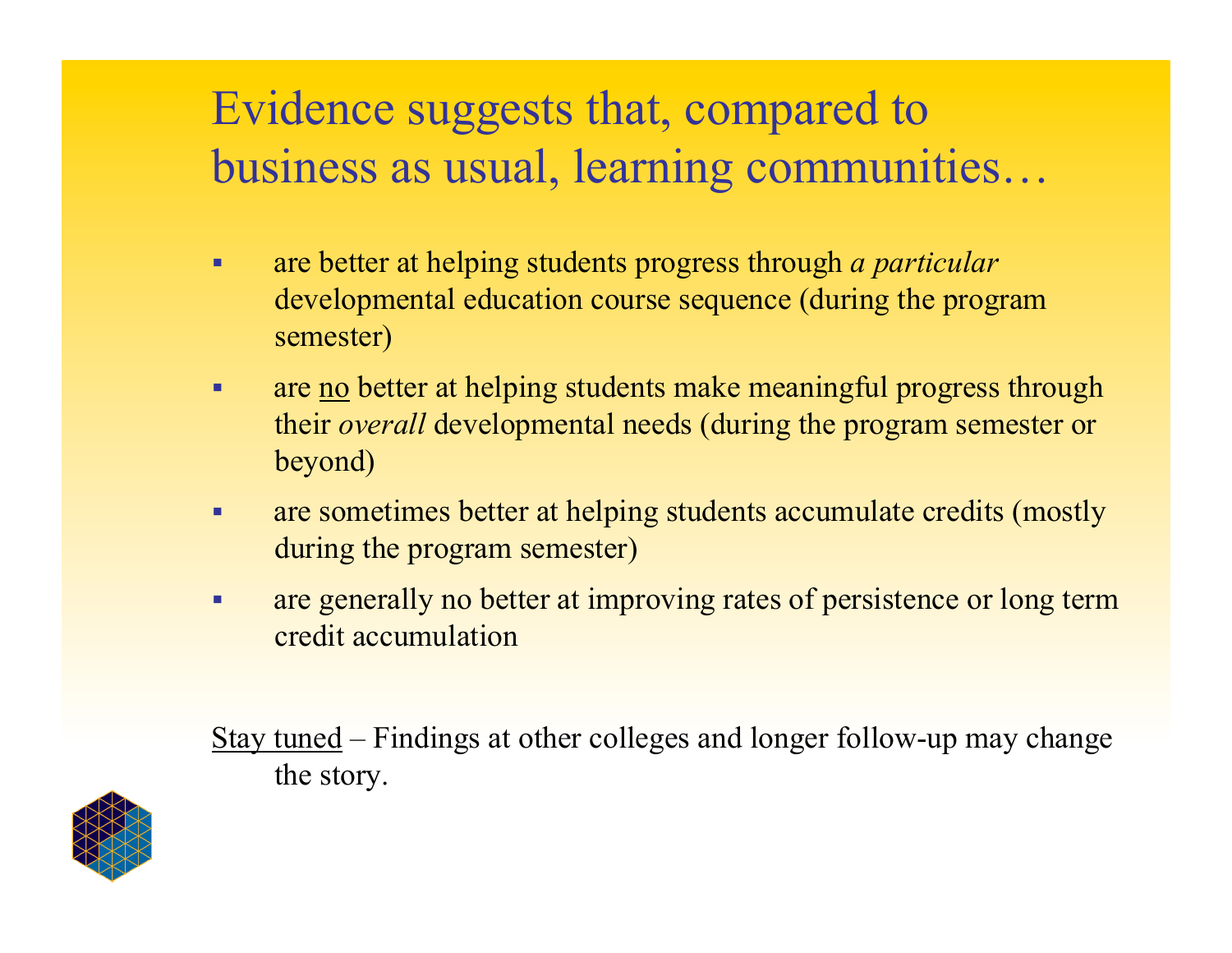#### Evidence suggests that, compared to business as usual, learning communities…

- are better at helping students progress through *a particular* developmental education course sequence (during the program semester)
- are <u>no</u> better at helping students make meaningful progress through their *overall* developmental needs (during the program semester or beyond)
- are sometimes better at helping students accumulate credits (mostly during the program semester)
- are generally no better at improving rates of persistence or long term credit accumulation

Stay tuned – Findings at other colleges and longer follow-up may change the story.

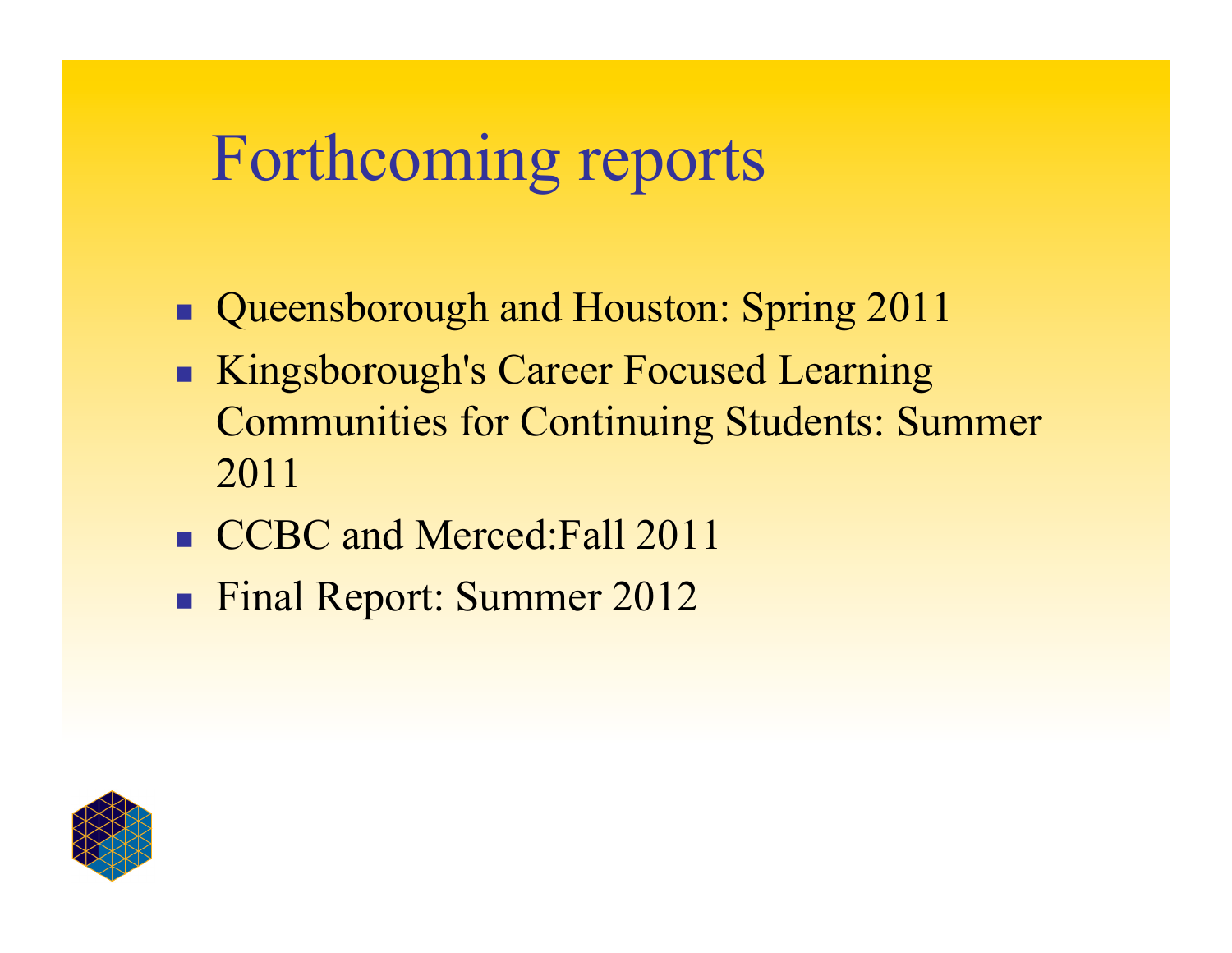# Forthcoming reports

- Queensborough and Houston: Spring 2011
- Kingsborough's Career Focused Learning Communities for Continuing Students: Summer 2011
- CCBC and Merced: Fall 2011
- **Final Report: Summer 2012**

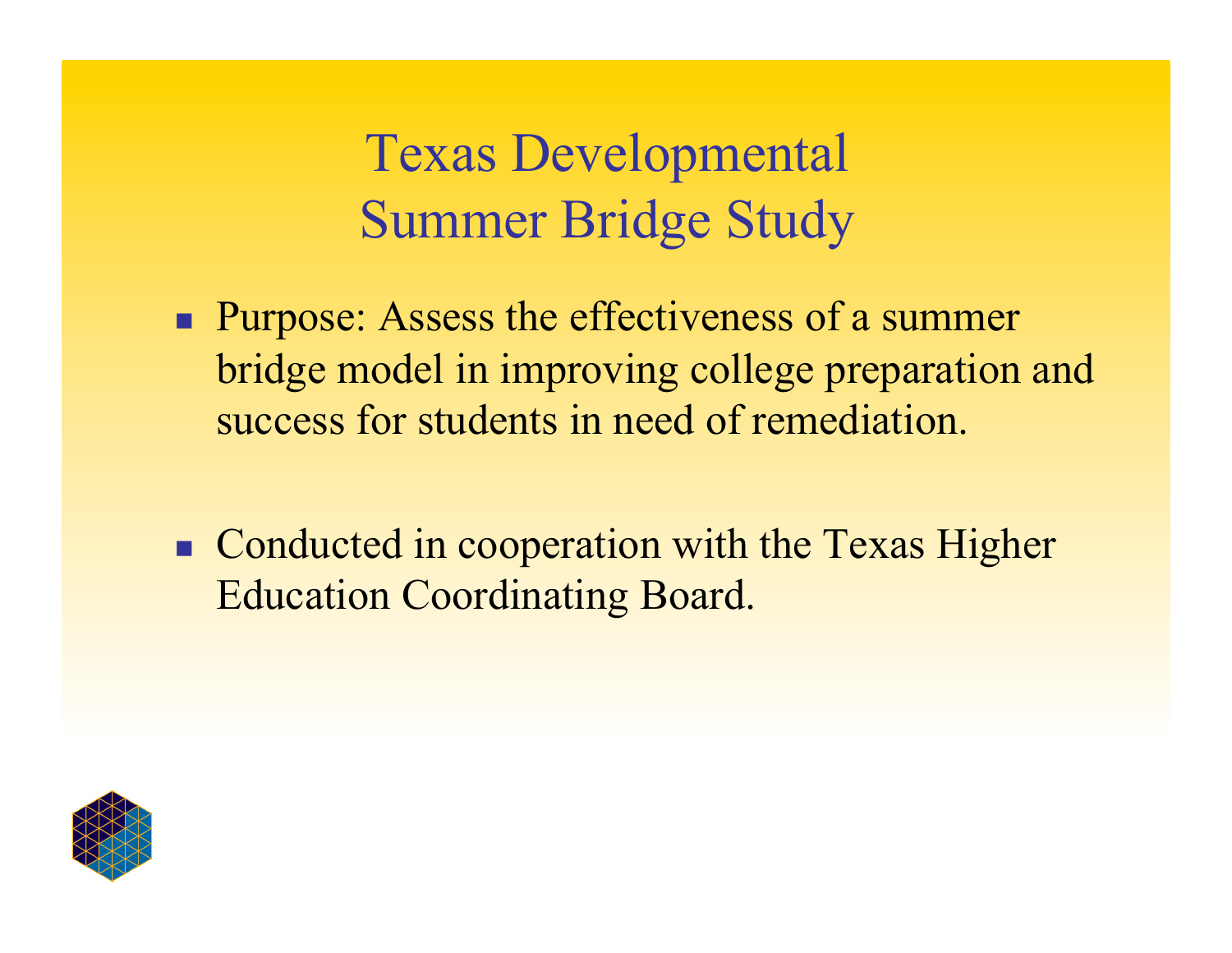Texas Developmental Summer Bridge Study

- **Purpose:** Assess the effectiveness of a summer bridge model in improving college preparation and success for students in need of remediation.
- Conducted in cooperation with the Texas Higher Education Coordinating Board.

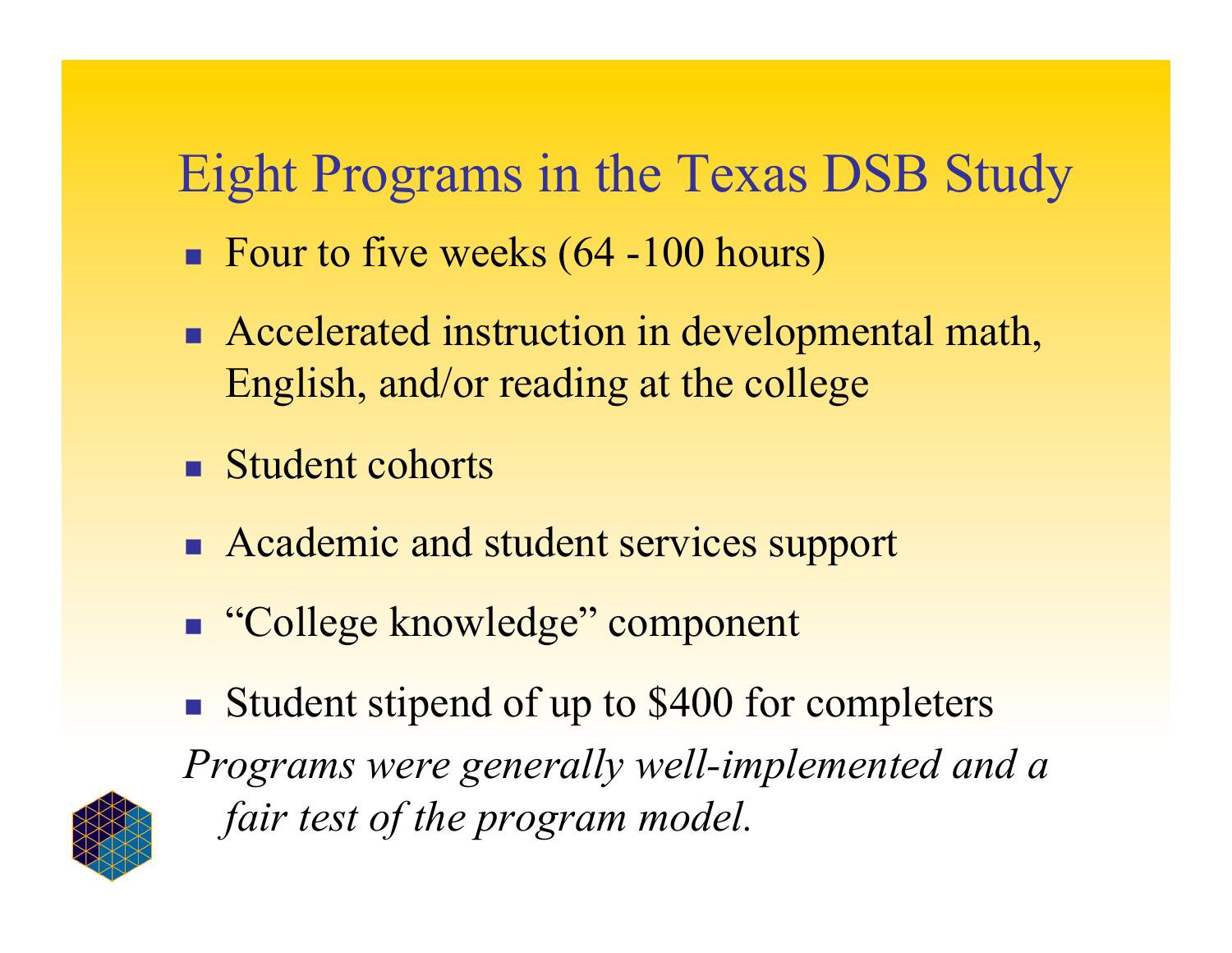## Eight Programs in the Texas DSB Study

- Four to five weeks  $(64 100$  hours)
- Accelerated instruction in developmental math, English, and/or reading at the college
- **Student cohorts**
- Academic and student services support
- "College knowledge" component
- Student stipend of up to \$400 for completers

*Programs were generally well-implemented and a fair test of the program model.*

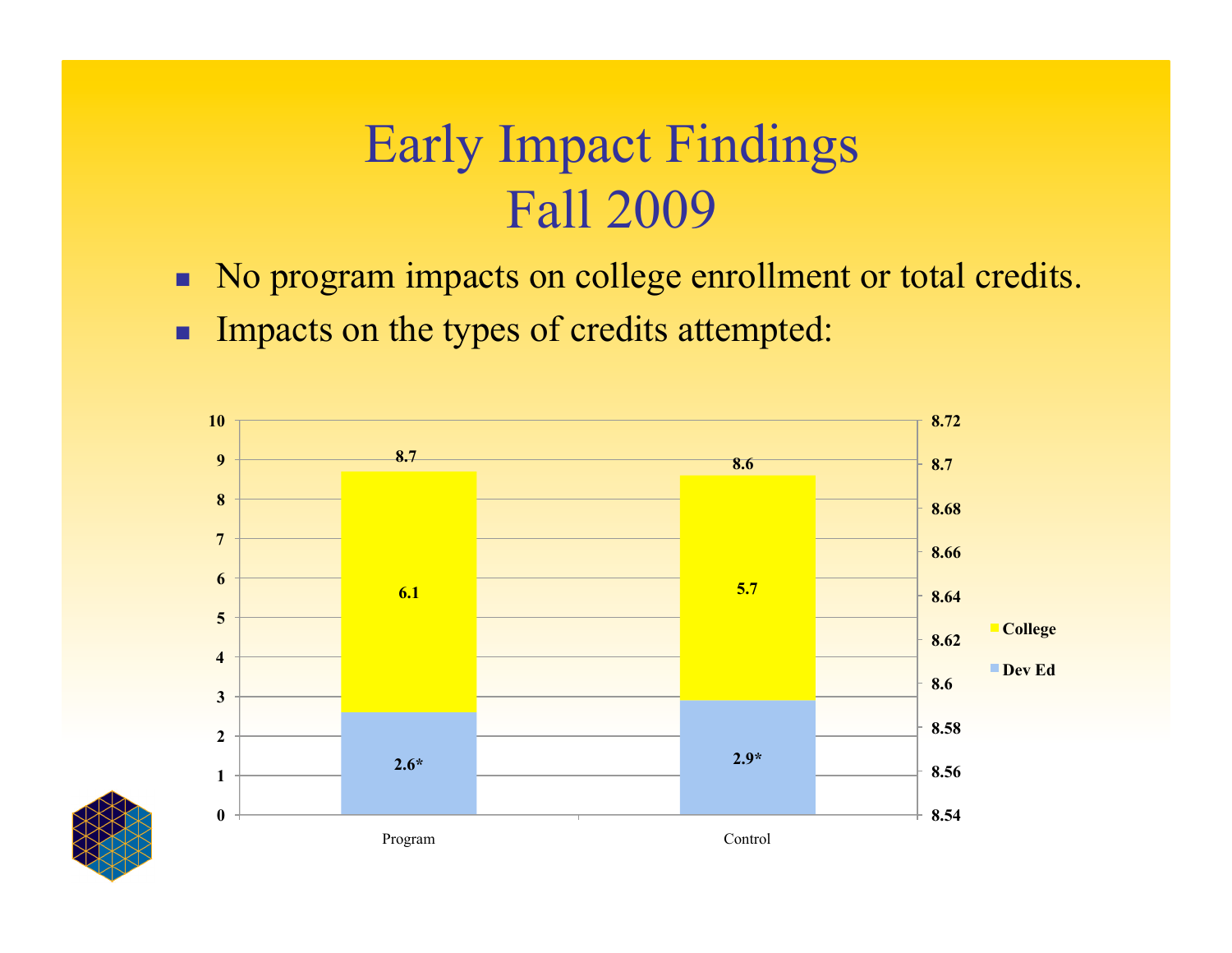### Early Impact Findings Fall 2009

- No program impacts on college enrollment or total credits.
- **Impacts on the types of credits attempted:**

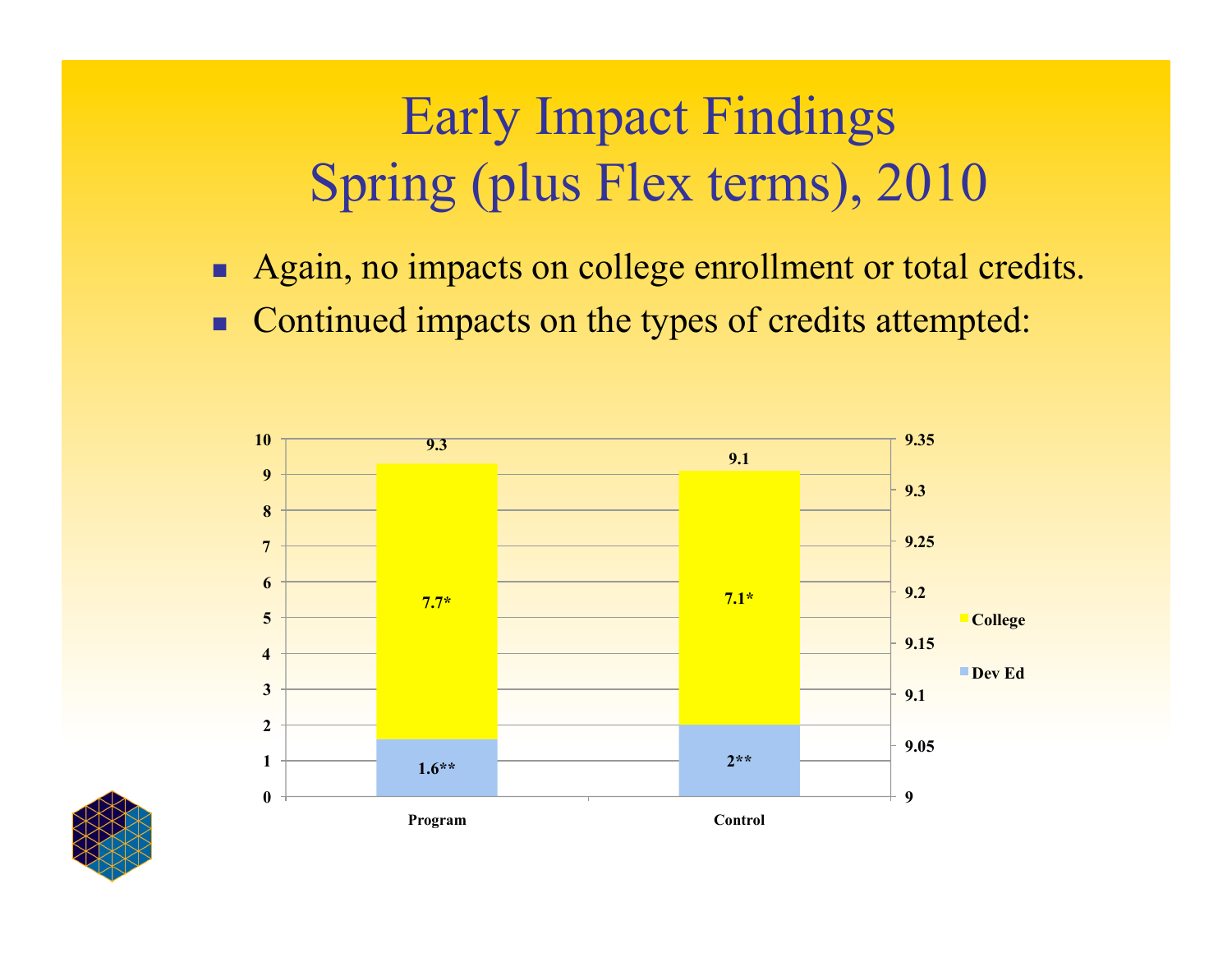# Early Impact Findings Spring (plus Flex terms), 2010

- Again, no impacts on college enrollment or total credits.
- Continued impacts on the types of credits attempted:



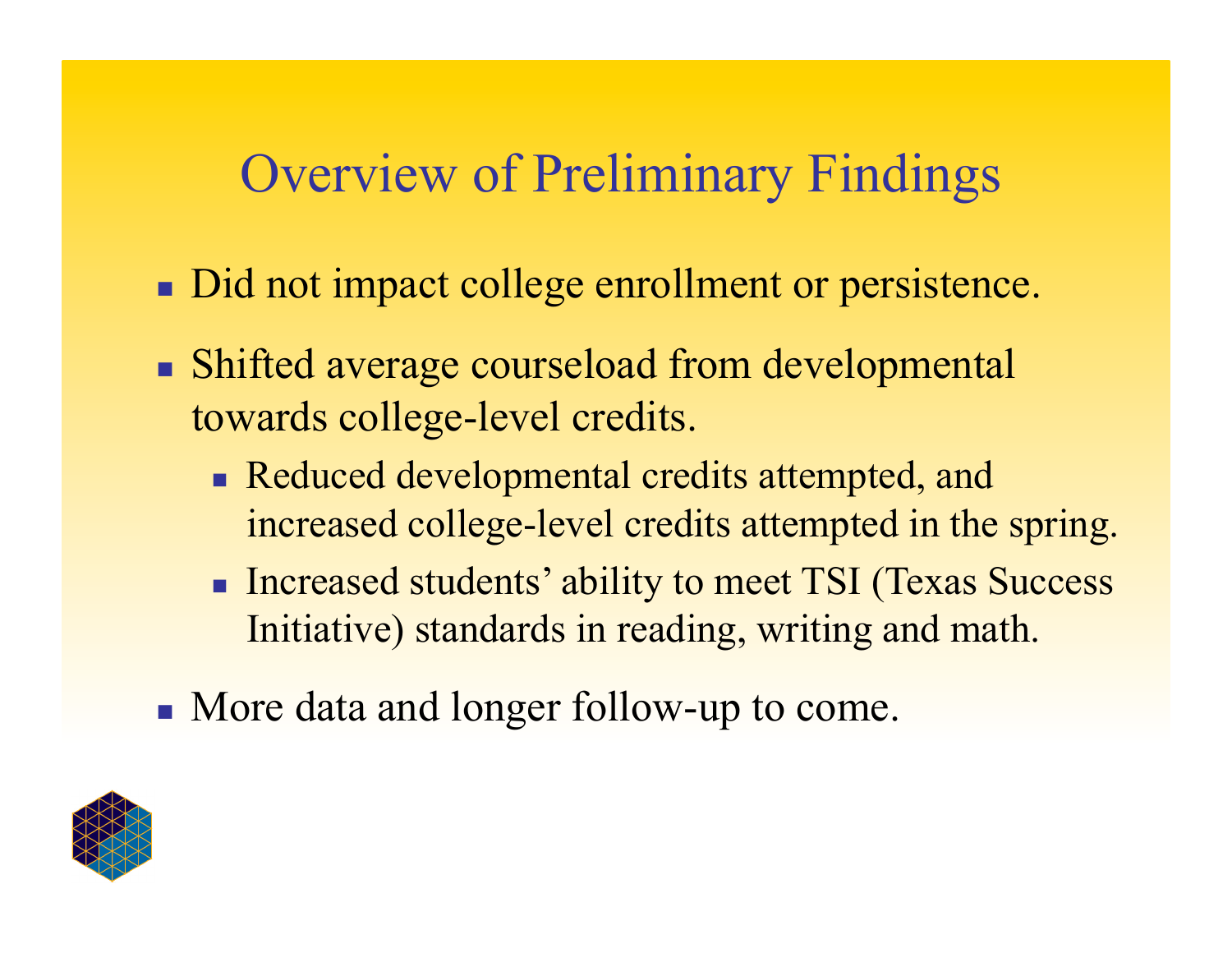#### Overview of Preliminary Findings

- Did not impact college enrollment or persistence.
- Shifted average courseload from developmental towards college-level credits.
	- Reduced developmental credits attempted, and increased college-level credits attempted in the spring.
	- **Increased students' ability to meet TSI (Texas Success** Initiative) standards in reading, writing and math.
- More data and longer follow-up to come.

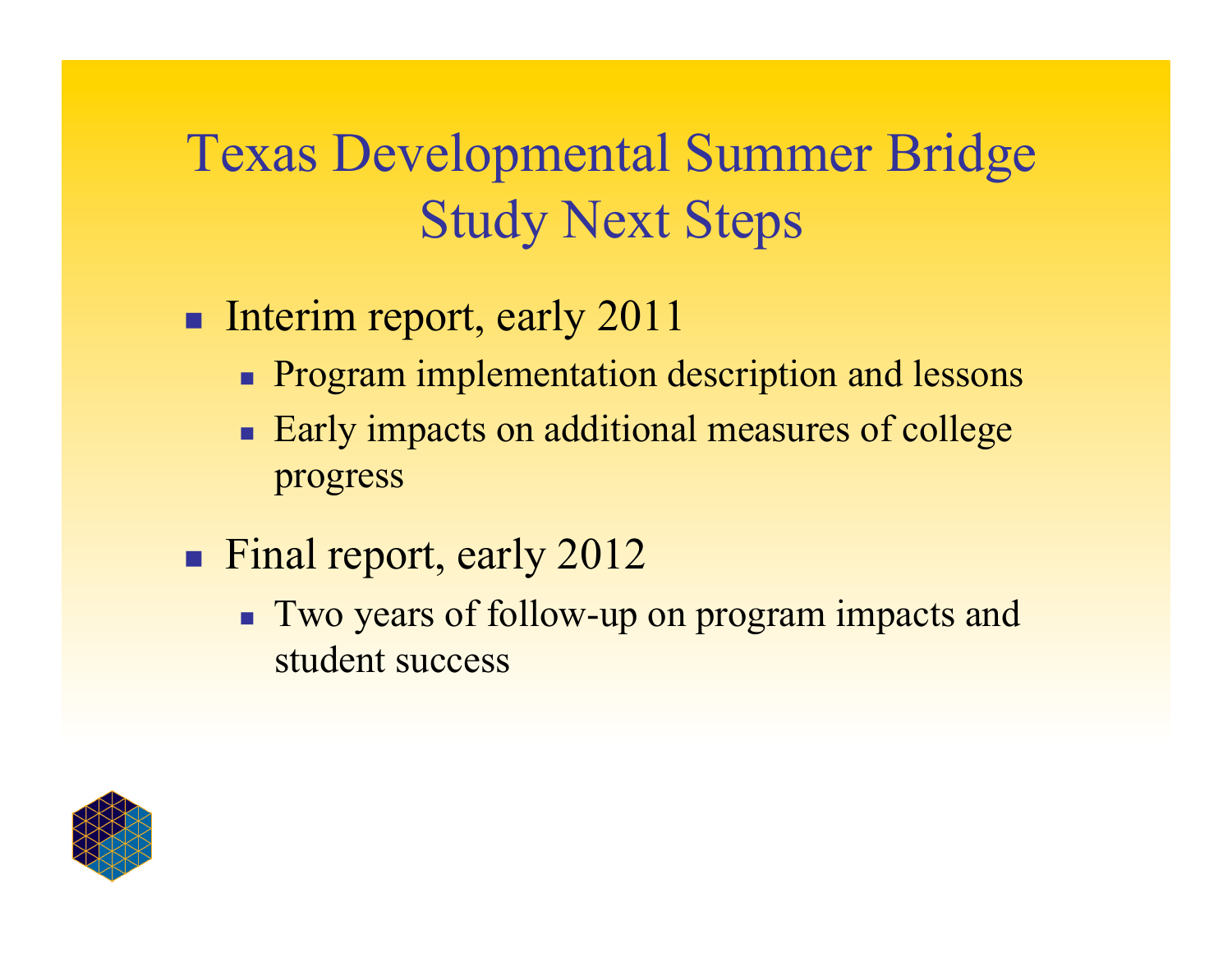# Texas Developmental Summer Bridge Study Next Steps

- **Interim report, early 2011** 
	- **Program implementation description and lessons**
	- Early impacts on additional measures of college progress
- **Final report, early 2012** 
	- **Two years of follow-up on program impacts and** student success

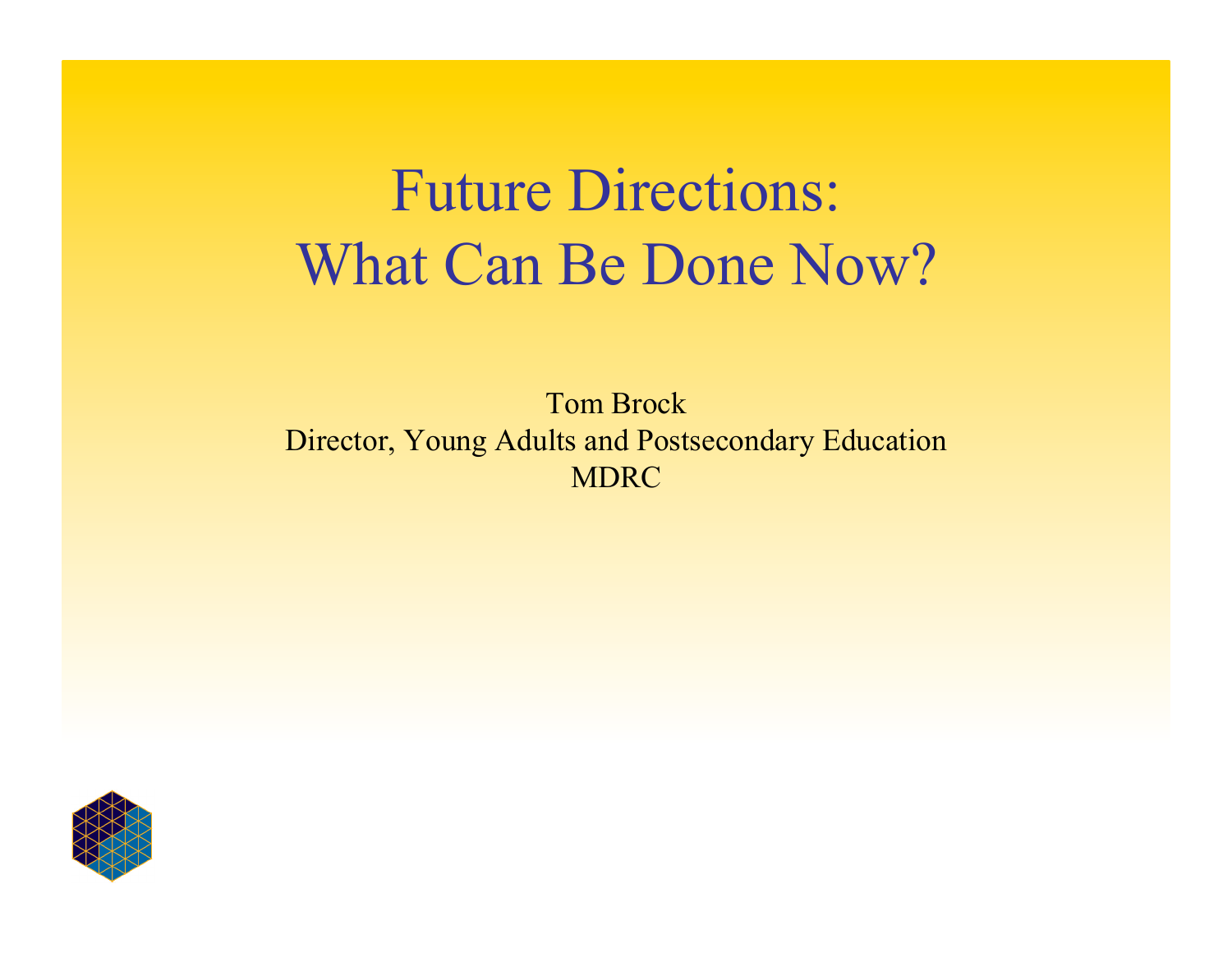# Future Directions: What Can Be Done Now?

Tom Brock Director, Young Adults and Postsecondary Education MDRC

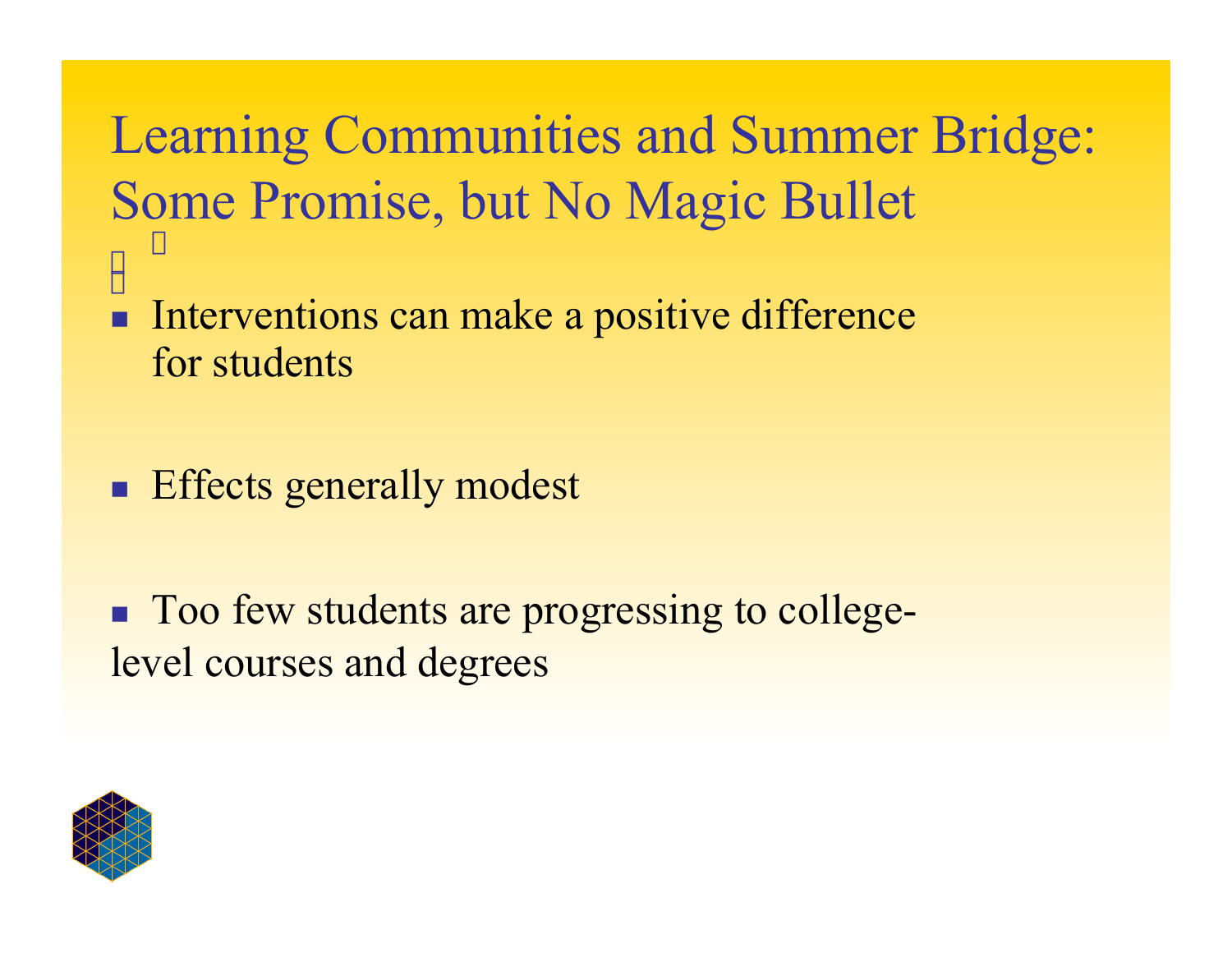Learning Communities and Summer Bridge: Some Promise, but No Magic Bullet

- ÷, **Interventions can make a positive difference** for students
- **Effects generally modest**

**Too few students are progressing to college**level courses and degrees

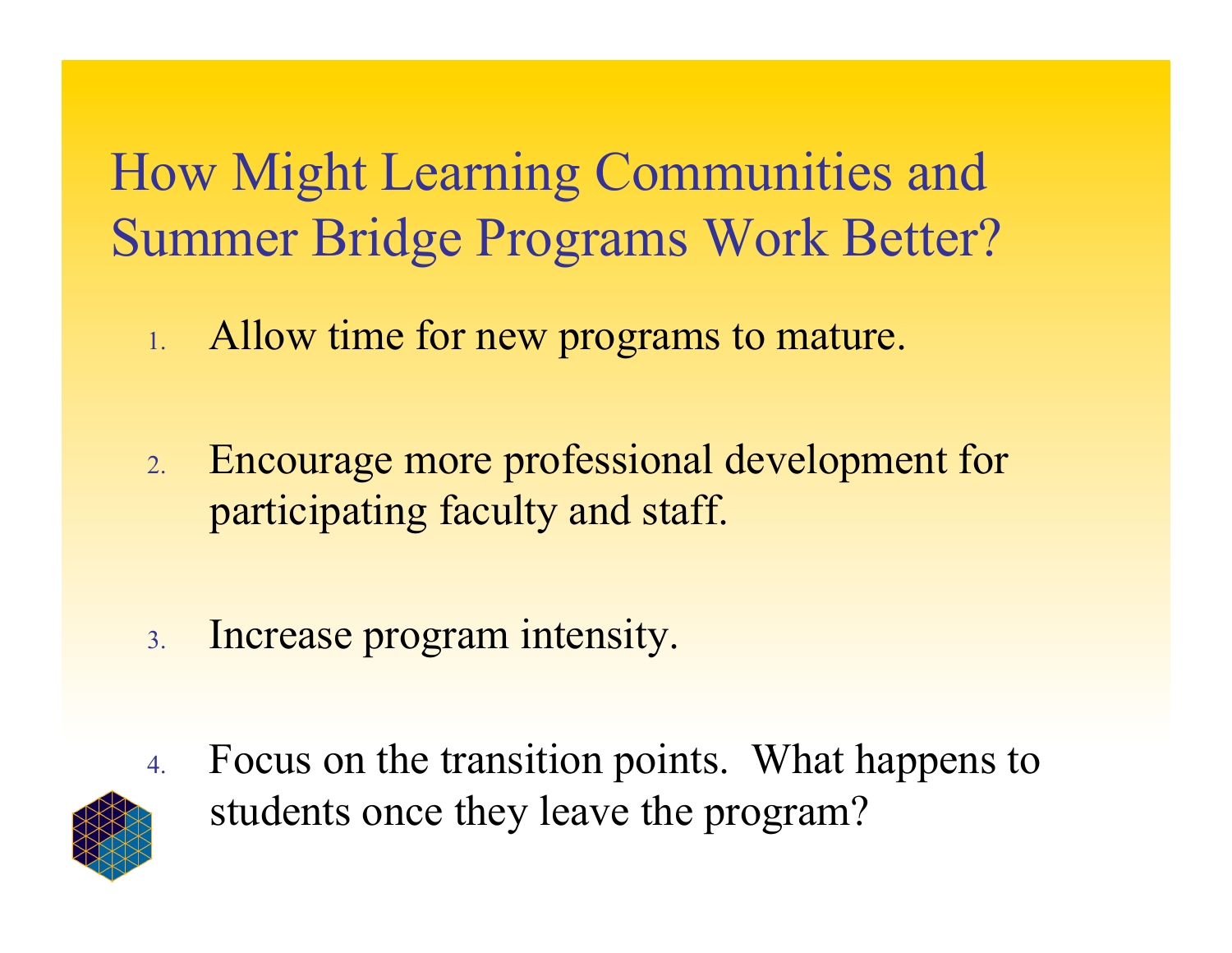How Might Learning Communities and Summer Bridge Programs Work Better?

- 1. Allow time for new programs to mature.
- 2. Encourage more professional development for participating faculty and staff.
- 3. Increase program intensity.



4. Focus on the transition points. What happens to students once they leave the program?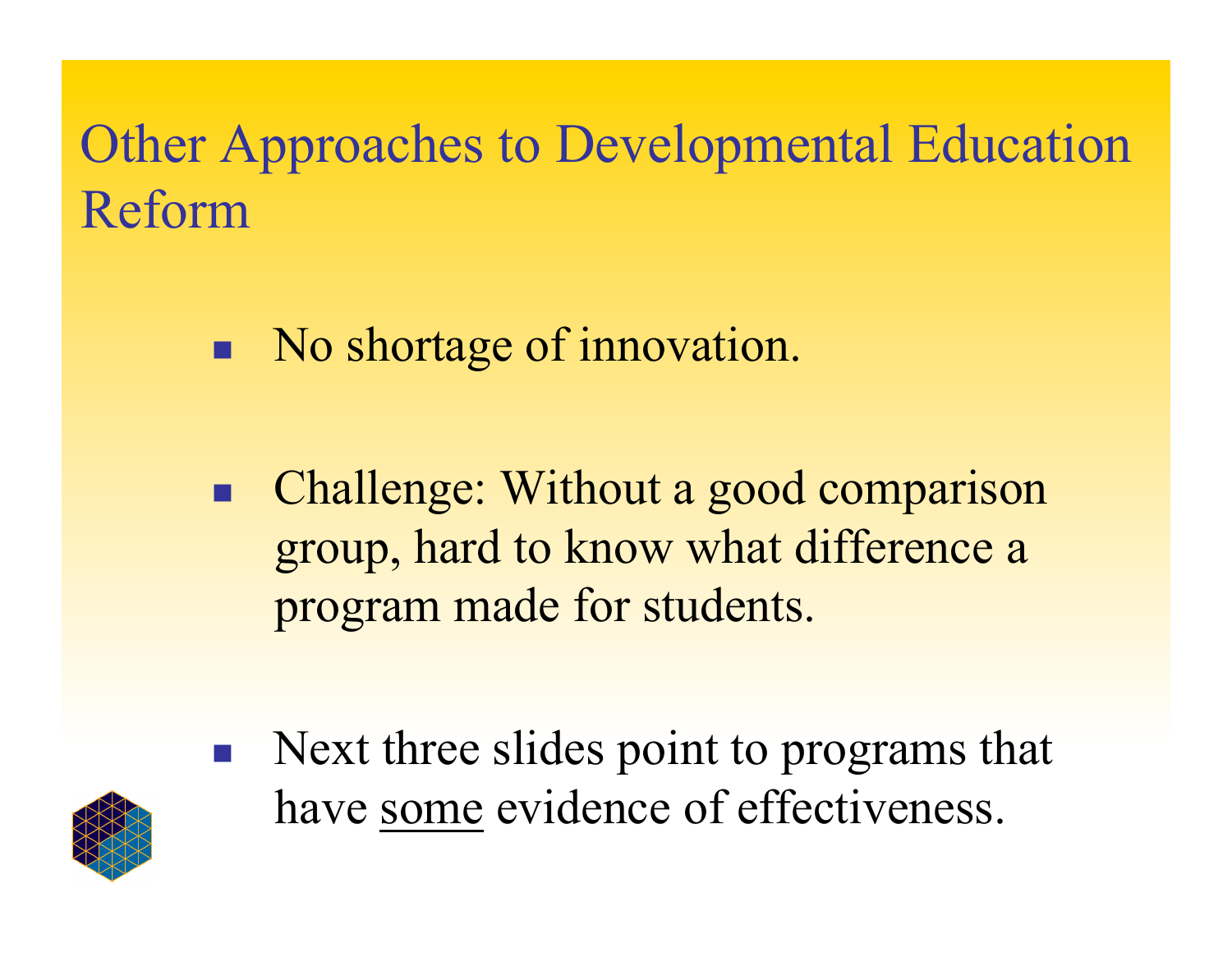# Other Approaches to Developmental Education Reform

- No shortage of innovation.
- Challenge: Without a good comparison group, hard to know what difference a program made for students.
- **Next three slides point to programs that** have some evidence of effectiveness.

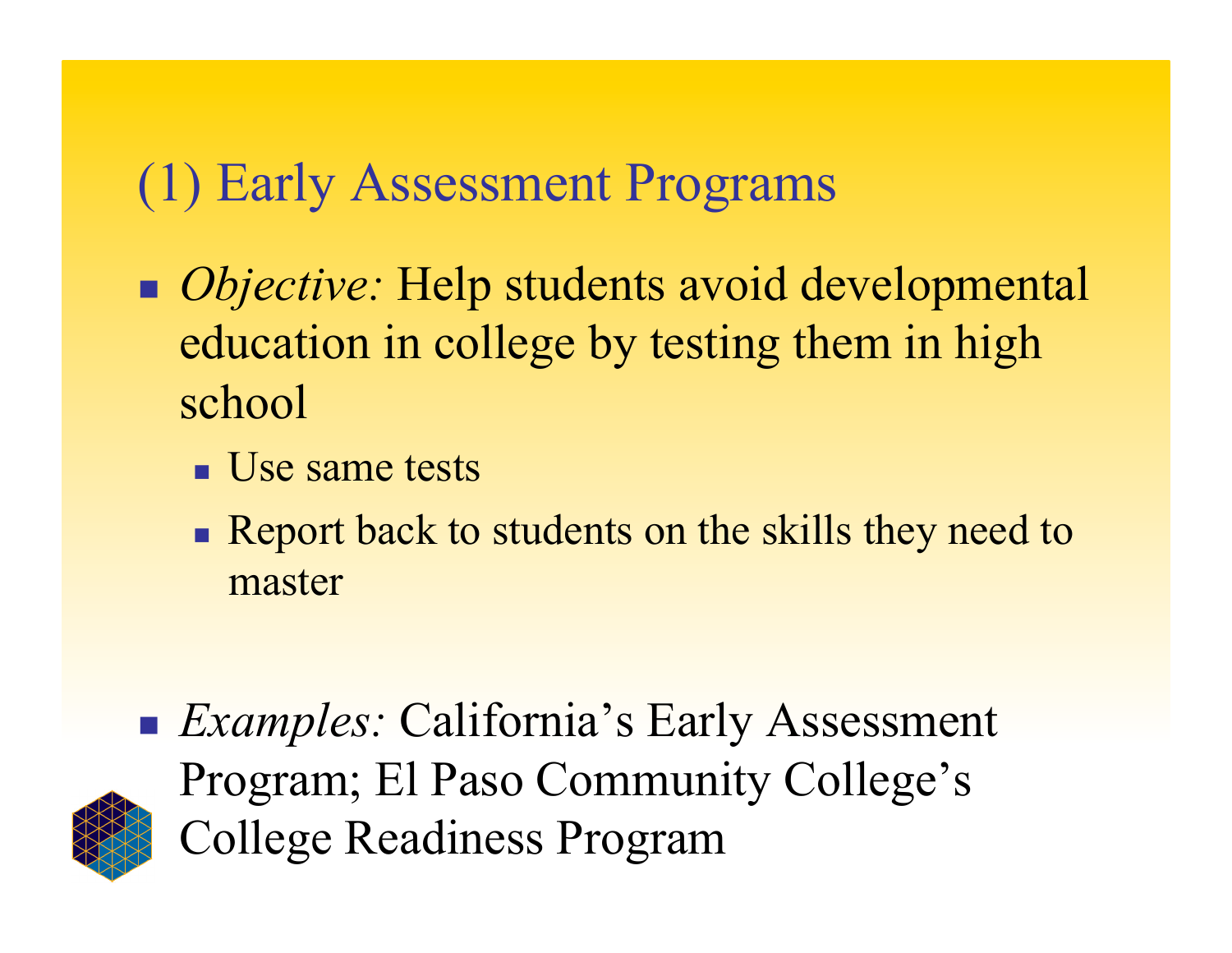## (1) Early Assessment Programs

- *Objective:* Help students avoid developmental education in college by testing them in high school
	- **Use same tests**
	- Report back to students on the skills they need to master



■ *Examples:* California's Early Assessment Program; El Paso Community College's College Readiness Program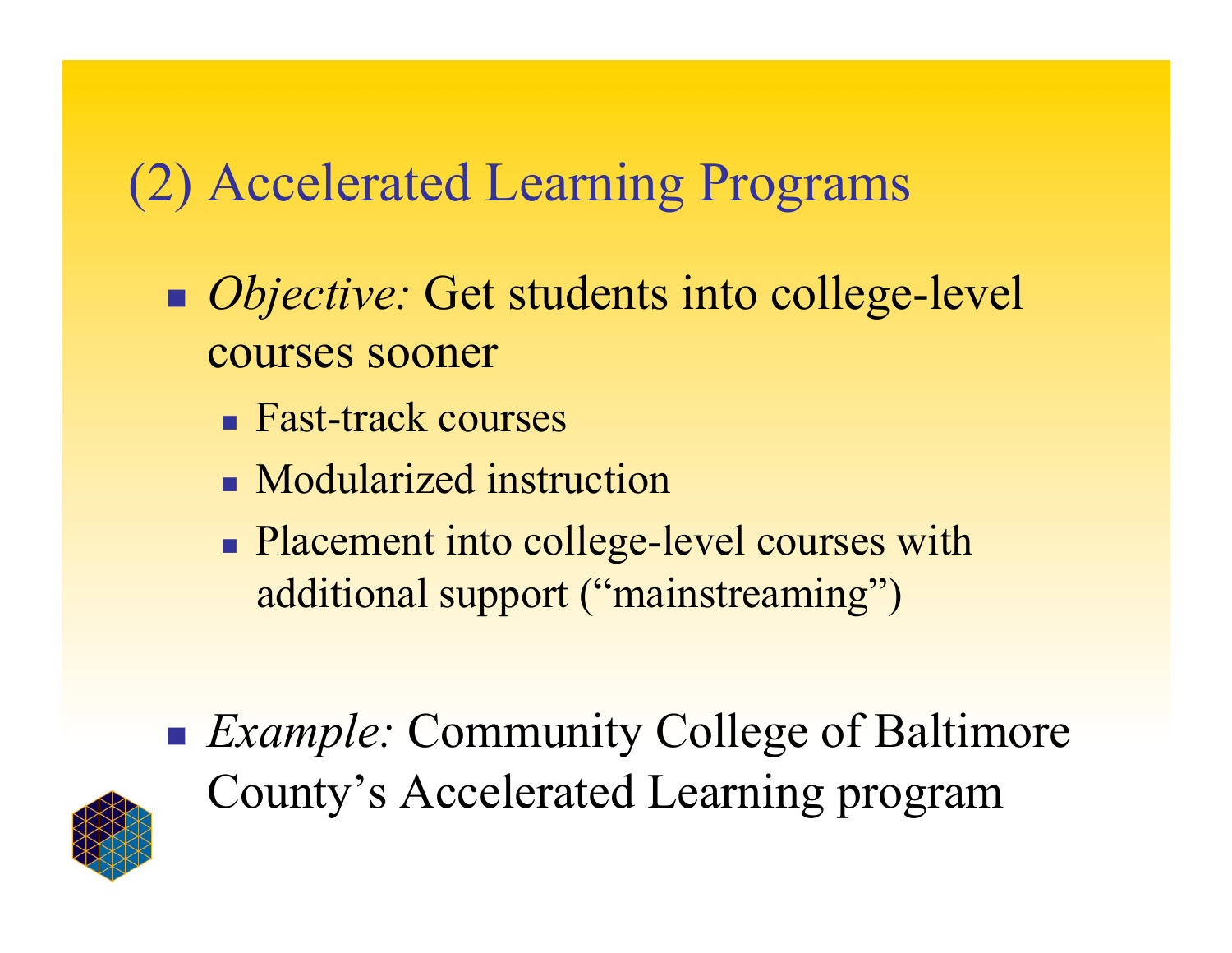# (2) Accelerated Learning Programs

- *Objective:* Get students into college-level courses sooner
	- **Fast-track courses**
	- **Modularized instruction**
	- Placement into college-level courses with additional support ("mainstreaming")
- *Example:* Community College of Baltimore County's Accelerated Learning program

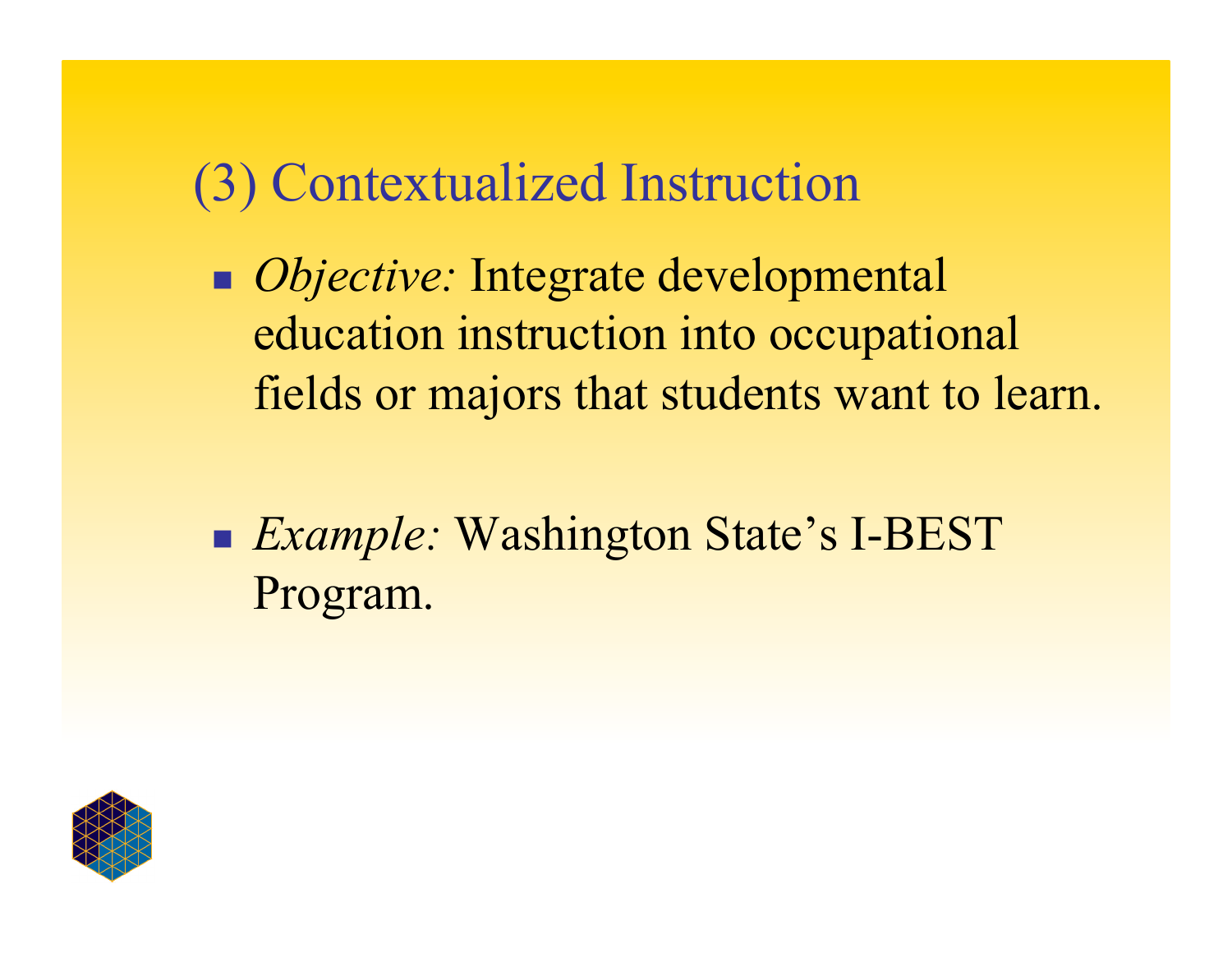#### (3) Contextualized Instruction

- *Objective:* Integrate developmental education instruction into occupational fields or majors that students want to learn.
- *Example:* Washington State's I-BEST Program.

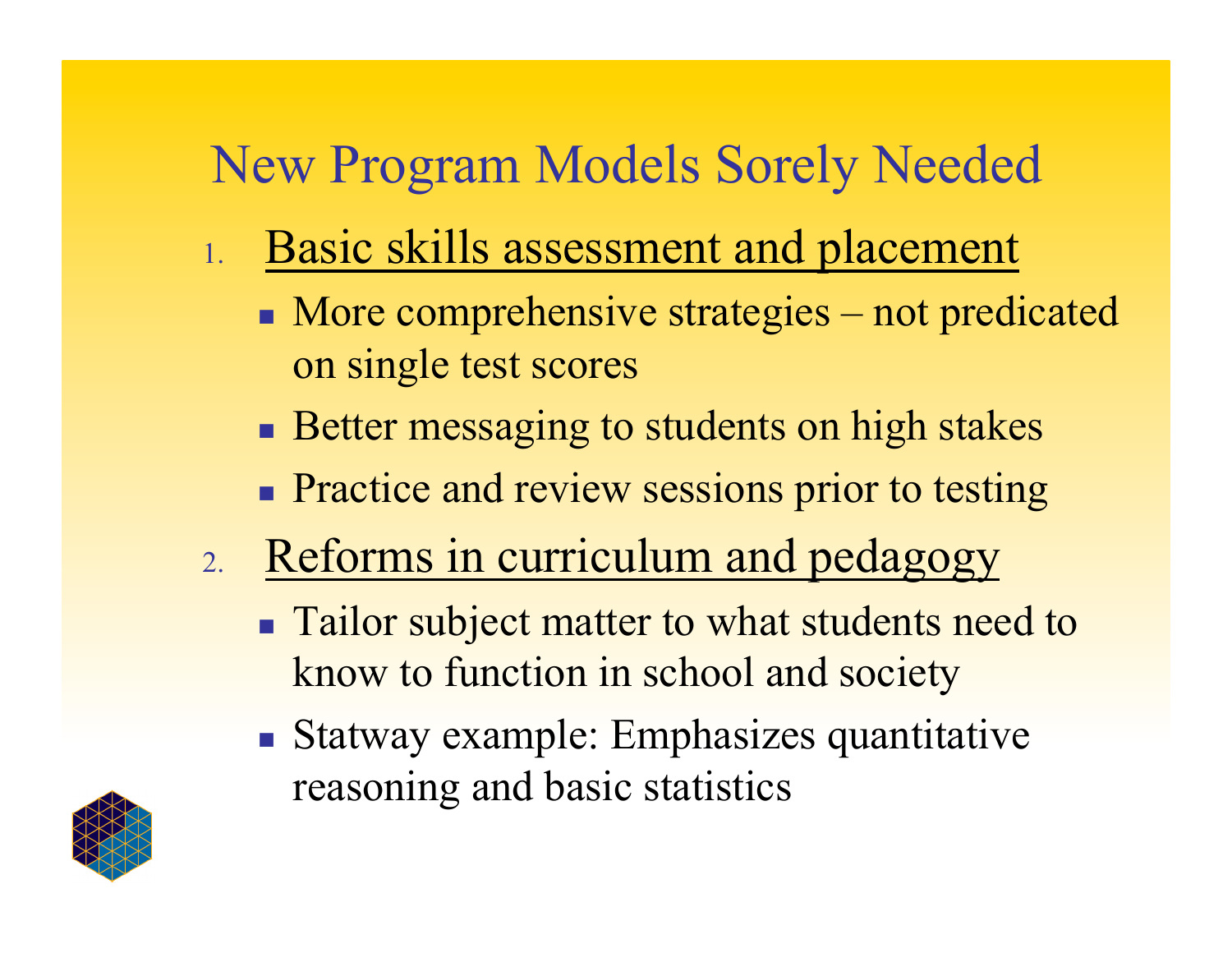# New Program Models Sorely Needed

- 1. Basic skills assessment and placement
	- More comprehensive strategies not predicated on single test scores
	- **Better messaging to students on high stakes**
	- **Practice and review sessions prior to testing**
- 2. Reforms in curriculum and pedagogy
	- **Tailor subject matter to what students need to** know to function in school and society
	- Statway example: Emphasizes quantitative reasoning and basic statistics

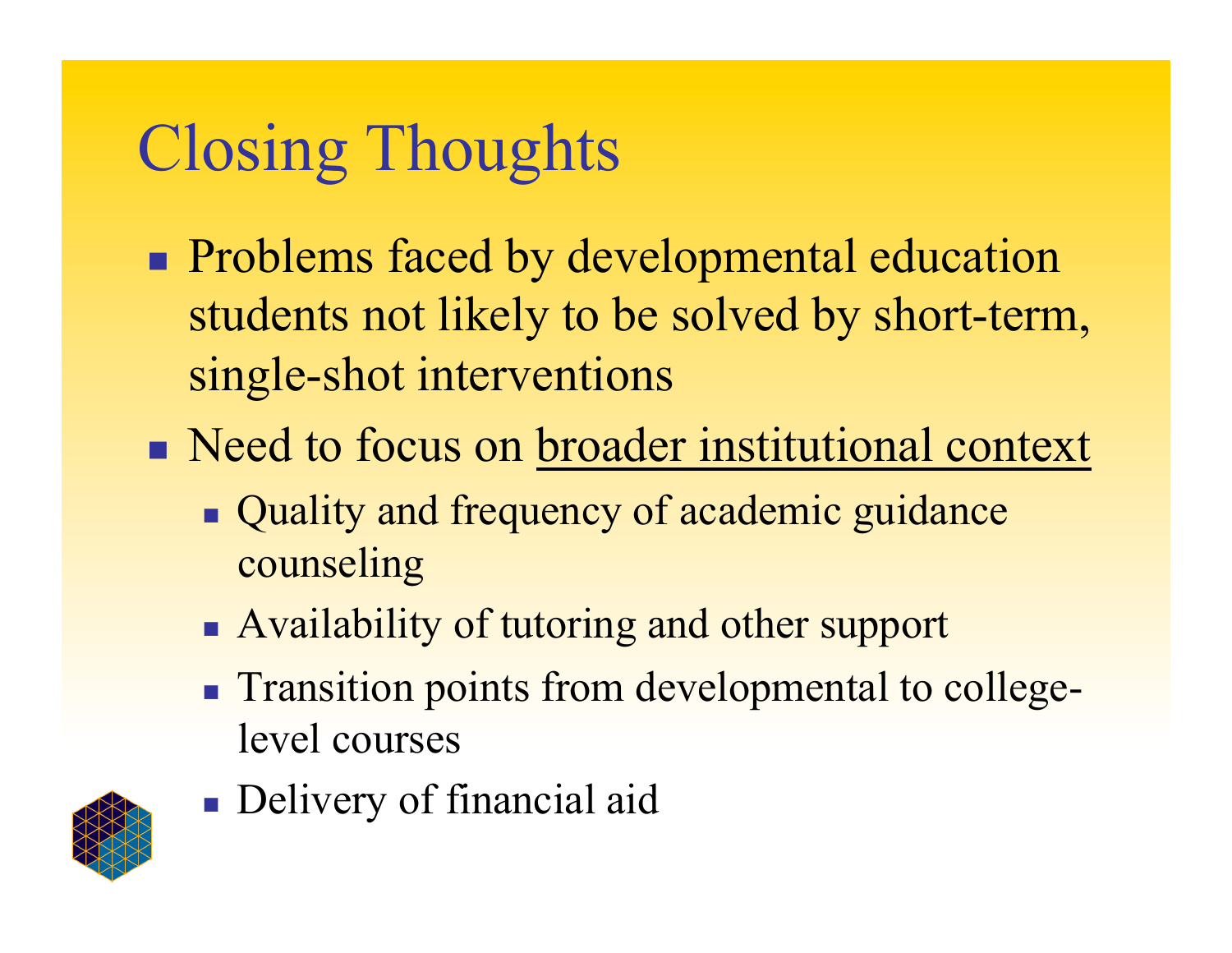# Closing Thoughts

- **Problems faced by developmental education** students not likely to be solved by short-term, single-shot interventions
- Need to focus on broader institutional context
	- Quality and frequency of academic guidance counseling
	- Availability of tutoring and other support
	- **Transition points from developmental to college**level courses



**Delivery of financial aid**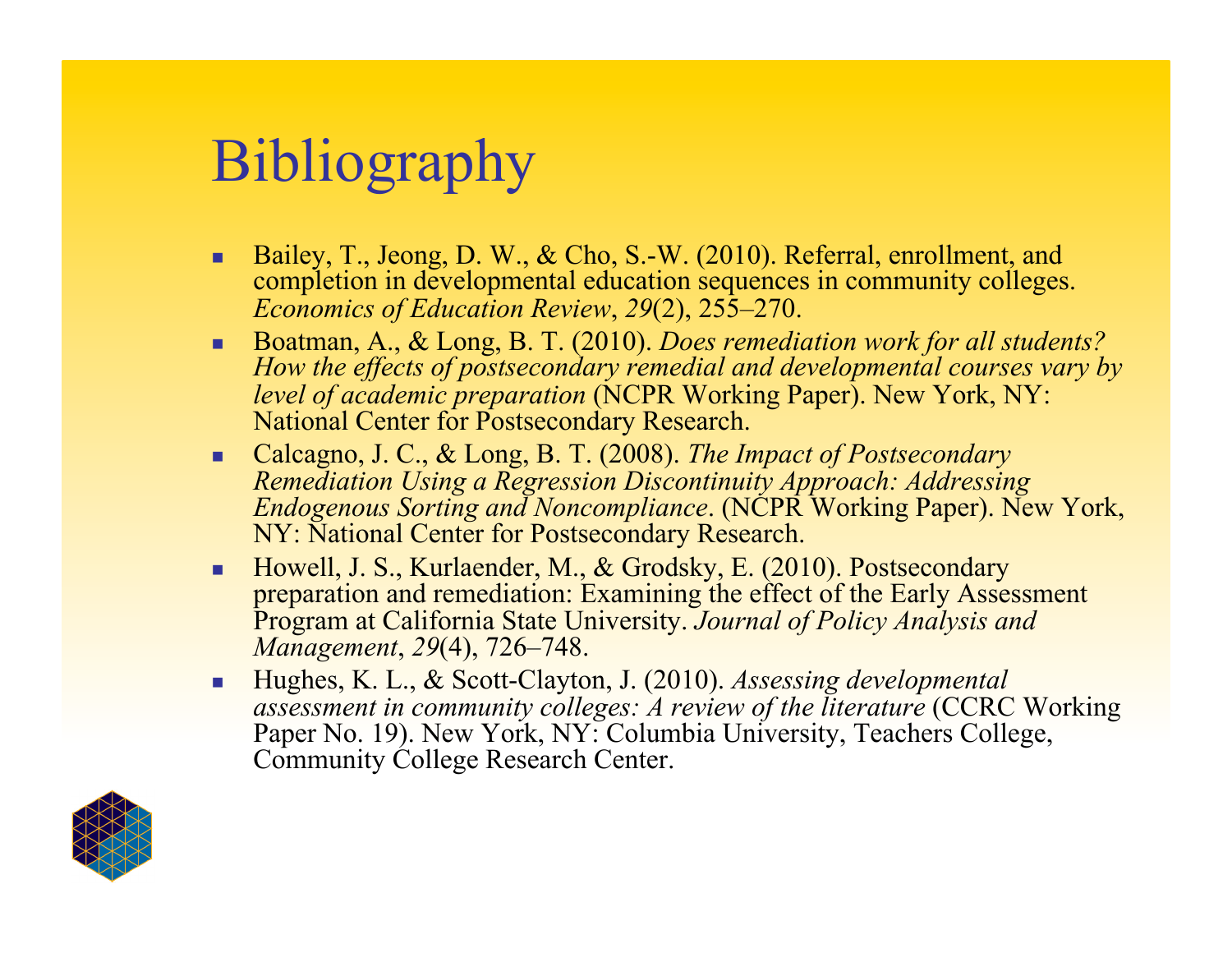# Bibliography

- Bailey, T., Jeong, D. W., & Cho, S.-W. (2010). Referral, enrollment, and completion in developmental education sequences in community colleges. *Economics of Education Review*, *29*(2), 255–270.
- Boatman, A., & Long, B. T. (2010). *Does remediation work for all students? How the effects of postsecondary remedial and developmental courses vary by level of academic preparation* (NCPR Working Paper). New York, NY: National Center for Postsecondary Research.
- Calcagno, J. C., & Long, B. T. (2008). *The Impact of Postsecondary Remediation Using a Regression Discontinuity Approach: Addressing Endogenous Sorting and Noncompliance*. (NCPR Working Paper). New York, NY: National Center for Postsecondary Research.
- Howell, J. S., Kurlaender, M., & Grodsky, E. (2010). Postsecondary preparation and remediation: Examining the effect of the Early Assessment Program at California State University. *Journal of Policy Analysis and Management*, *29*(4), 726–748.
- Hughes, K. L., & Scott-Clayton, J. (2010). *Assessing developmental assessment in community colleges: A review of the literature* (CCRC Working Paper No. 19). New York, NY: Columbia University, Teachers College, Community College Research Center.

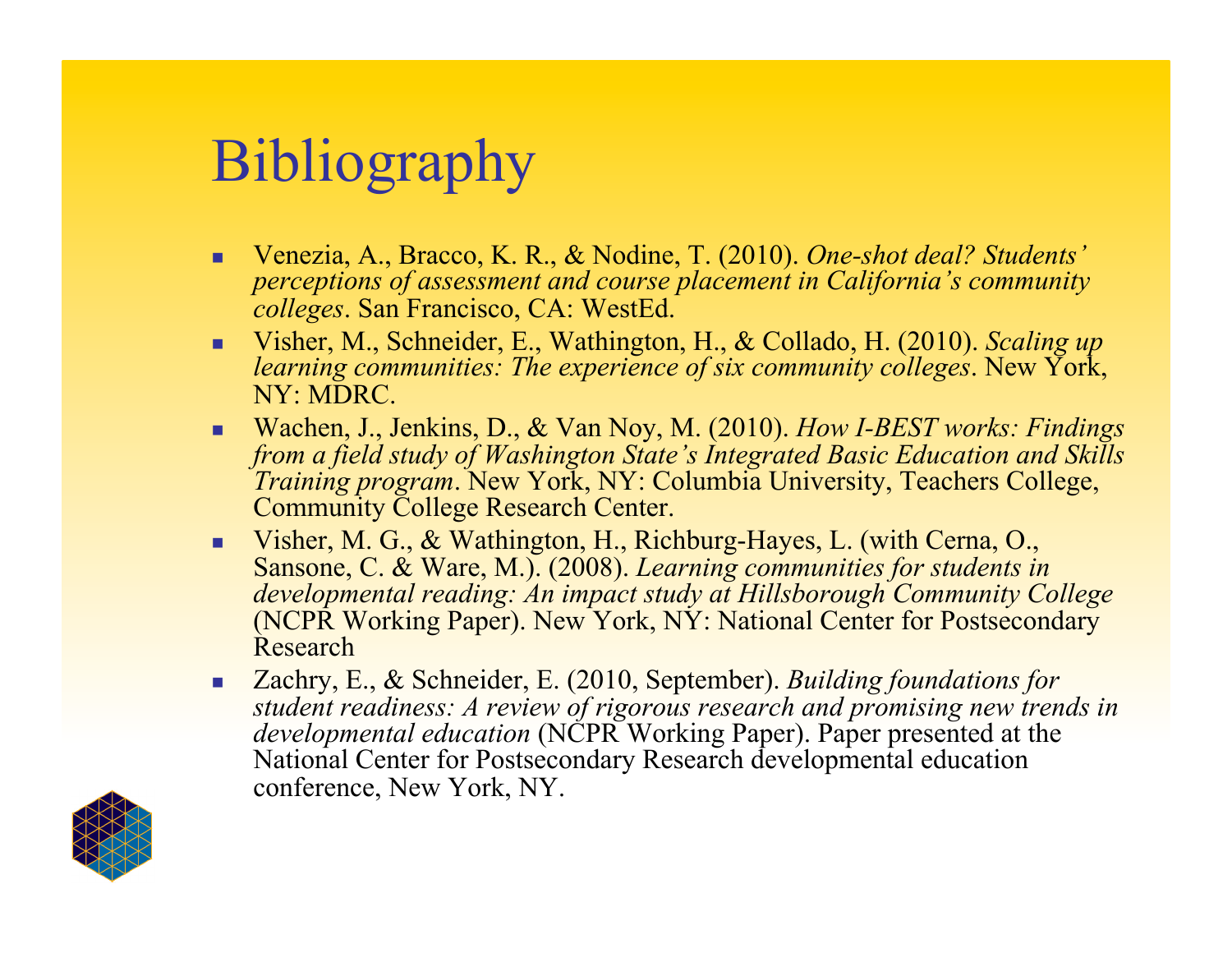# Bibliography

- Venezia, A., Bracco, K. R., & Nodine, T. (2010). *One-shot deal? Students' perceptions of assessment and course placement in California's community colleges*. San Francisco, CA: WestEd.
- Visher, M., Schneider, E., Wathington, H., & Collado, H. (2010). *Scaling up learning communities: The experience of six community colleges*. New York, NY: MDRC.
- Wachen, J., Jenkins, D., & Van Noy, M. (2010). *How I-BEST works: Findings from a field study of Washington State's Integrated Basic Education and Skills Training program*. New York, NY: Columbia University, Teachers College, Community College Research Center.
- Visher, M. G., & Wathington, H., Richburg-Hayes, L. (with Cerna, O., Sansone, C. & Ware, M.). (2008). *Learning communities for students in developmental reading: An impact study at Hillsborough Community College* (NCPR Working Paper). New York, NY: National Center for Postsecondary Research
- Zachry, E., & Schneider, E. (2010, September). *Building foundations for student readiness: A review of rigorous research and promising new trends in developmental education* (NCPR Working Paper). Paper presented at the National Center for Postsecondary Research developmental education conference, New York, NY.